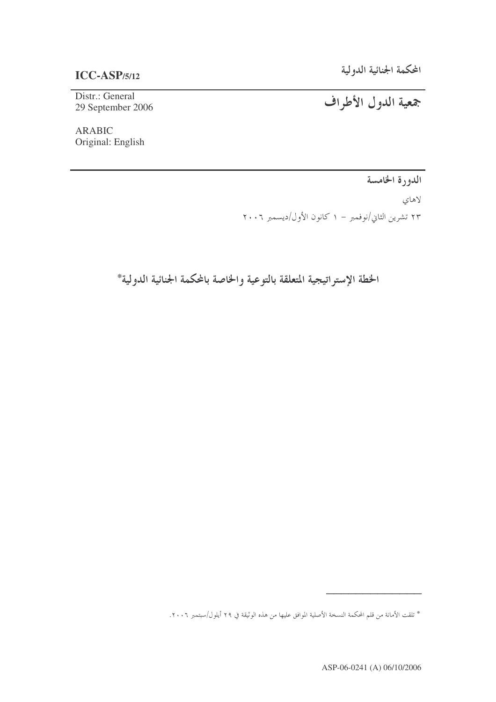# **ICC-ASP/5/12**

Distr.: General 29 September 2006

ARABIC Original: English جمعية الدول الأطراف

الدورة الخامسة

لاهاي

۲۳ تشرین الثاني/نوفمبر – ۱ کانون الأول/دیسمبر ۲۰۰٦

الخطة الإستراتيجية المتعلقة بالتوعية والخاصة بالمكمة الجنائية الدولية\*

"""""""""""""

<sup>\*</sup> تلقت الأمانة من قلم المحكمة النسخة الأصلية الموافق عليها من هذه الوثيقة في ٢٩ أيلول/سبتمبر ٢٠٠٦.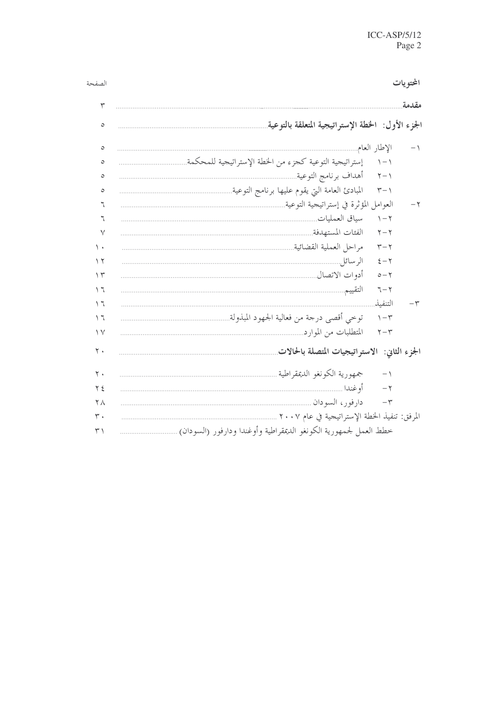| الصف                  |                                                                  |                              | المحتويات |
|-----------------------|------------------------------------------------------------------|------------------------------|-----------|
| ٣                     |                                                                  |                              | مقدمة     |
| ٥                     | الجزء الأول: الخطة الإستراتيجية المتعلقة بالتوعية                |                              |           |
| $\circ$               | الإطار العام                                                     |                              | ا –       |
| ٥                     | إستراتيجية التوعية كجزء من الخطة الإستراتيجية للمحكمة            | $\backslash - \backslash$    |           |
| ٥                     | أهداف برنامج التوعية                                             | $\gamma - \gamma$            |           |
| ٥                     | المبادئ العامة التي يقوم عليها برنامج التوعية.                   | $\tau - \gamma$              |           |
| ٦                     | العوامل المؤثرة في إستراتيجية التوعية.                           |                              |           |
| ٦                     |                                                                  | $\mathcal{N} - \mathcal{N}$  |           |
| $\vee$                |                                                                  | $\overline{\gamma - \gamma}$ |           |
| ۱.                    |                                                                  | $\tau-\tau$                  |           |
| $\gamma$              |                                                                  | $\xi - \overline{\gamma}$    |           |
| $\gamma$              |                                                                  | $o - \gamma$                 |           |
| $\backslash$ $\lceil$ | التقييم                                                          | $7 - 7$                      |           |
| ۲ ۱                   |                                                                  | التنفىذ                      | -٣        |
| $\setminus$ $\top$    | توخي أقصى درجة من فعالية الجهود المبذولة.                        | $\eta - \tau$                |           |
| $\vee$                | المتطلبات من الموارد.                                            | $\mathbf{y}-\mathbf{y}$      |           |
| $\mathbf{y}$ .        | الجزء الثانى: الاستراتيجيات المتصلة بالحالات                     |                              |           |
| ٢.                    | جمهورية الكونغو الديمقراطية ِ                                    | $-1$                         |           |
| ۲٤                    | أو غندا                                                          | $-\tau$                      |           |
| $\mathsf{Y} \wedge$   | دار فور، السودان ِ                                               | $-\,\mathbf{\breve{r}}$      |           |
| $\mathsf{r}$ .        | المرفق: تنفيذ الخطة الإستراتيجية في عام ٢٠٠٧                     |                              |           |
| $\uparrow$            | خطط العمل لجمهورية الكونغو الديمقراطية وأوغندا ودارفور (السودان) |                              |           |

حة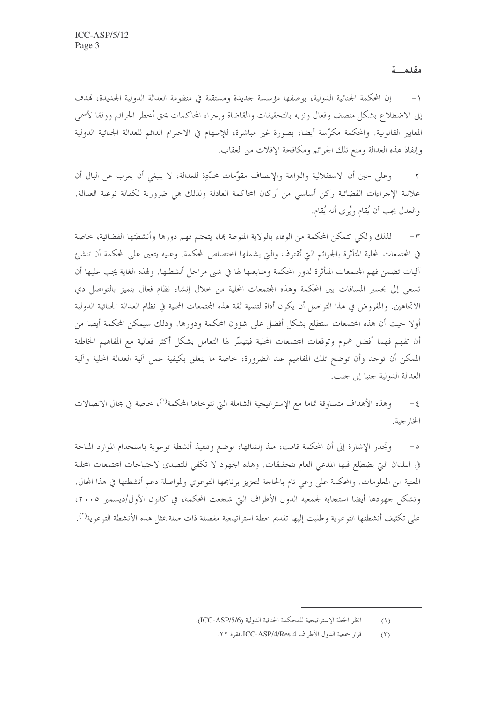مقدمتة

إن المحكمة الجنائية الدولية، بوصفها مؤسسة حديدة ومستقلة في منظومة العدالة الدولية الجديدة، تمدف إلى الاضطلاع بشكل منصف وفعال ونزيه بالتحقيقات والمقاضاة وإحراء المحاكمات بحق أخطر الجرائم ووفقا لأسمى المعايير القانونية. والمحكمة مكرَّسة أيضا، بصورة غير مباشرة، للإسهام في الاحترام الدائم للعدالة الجنائية الدولية وإنفاذ هذه العدالة ومنع تلك الجرائم ومكافحة الإفلات من العقاب.

وعلى حين أن الاستقلالية والتراهة والإنصاف مقوَّمات محدَّدِة للعدالة، لا ينبغي أن يغرب عن البال أن  $-\tau$ علانية الإجراءات القضائية ركن أساسي من أركان المحاكمة العادلة ولذلك هي ضرورية لكفالة نوعية العدالة. والعدل يجب أن يُقام ويُرى أنه يُقام.

لذلك ولكي تتمكن المحكمة من الوفاء بالولاية المنوطة ها، يتحتم فهم دورها وأنشطتها القضائية، خاصة  $-\tau$ في المحتمعات المحلية المتأثرة بالجرائم التي تُقترف والتي يشملها اختصاص المحكمة. وعليه يتعين على المحكمة أن تنشئ آليات تضمن فهم المحتمعات المتأثرة لدور المحكمة ومتابعتها لها في شتى مراحل أنشطتها. ولهذه الغاية يجب عليها أن تسعى إلى تجسير المسافات بين المحكمة وهذه المجتمعات المحلية من خلال إنشاء نظام فعال يتميز بالتواصل ذي الاتحاهين. والمفروض في هذا التواصل أن يكون أداة لتنمية ثقة هذه المحتمعات المحلية في نظام العدالة الجنائية الدولية أولا حيث أن هذه المحتمعات ستطلع بشكل أفضل على شؤون المحكمة ودورها. وذلك سيمكن المحكمة أيضا من أن تفهم فهما أفضل هموم وتوقعات المحتمعات المحلية فيتيسَّر لها التعامل بشكل أكثر فعالية مع المفاهيم الخاطئة الممكن أن توجد وأن توضح تلك المفاهيم عند الضرورة، خاصة ما يتعلق بكيفية عمل آلية العدالة المحلية وآلية العدالة الدولية جنبا إلى جنب.

وهذه الأهداف متساوقة تماما مع الإستراتيجية الشاملة التي تتوخاها المحكمة<sup>(`)</sup>، خاصة في مجال الاتصالات  $-\epsilon$ الخار جية.

وتحدر الإشارة إلى أن المحكمة قامت، منذ إنشائها، بوضع وتنفيذ أنشطة توعوية باستخدام الموارد المتاحة  $-\circ$ في البلدان التي يضطلع فيها المدعى العام بتحقيقات. وهذه الجهود لا تكفي للتصدي لاحتياجات المحتمعات المحلية المعنية من المعلومات. والمحكمة على وعي تام بالحاجة لتعزيز برنامجها التوعوي ولمواصلة دعم أنشطتها في هذا المحال. وتشكل جهودها أيضا استجابة لجمعية الدول الأطراف التي شجعت المحكمة، في كانون الأول/ديسمبر ٢٠٠٥، على تكثيف أنشطتها التوعوية وطلبت إليها تقديم حطة استراتيجية مفصلة ذات صلة بمثل هذه الأنشطة التوعوية<sup>(٢</sup>).

انظر الخطة الإستراتيجية للمحكمة الجنائية الدولية (ICC-ASP/5/6).  $(1)$ 

قرار جمعية الدول الأطراف ICC-ASP/4/Res.4،فقرة ٢٢.  $(1)$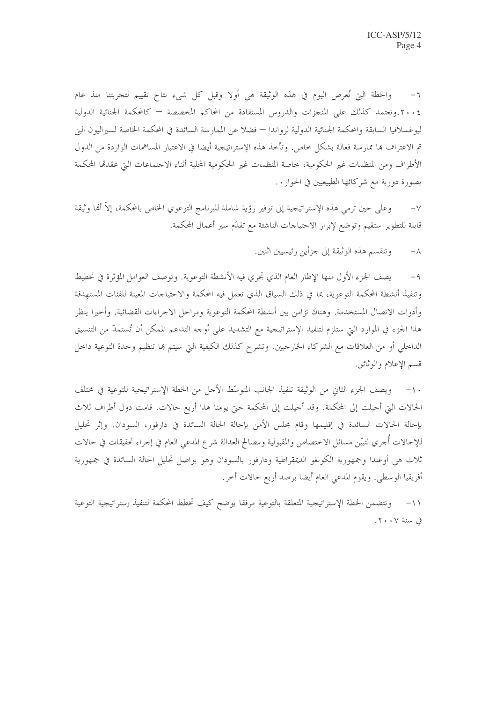والخطة التي تُعرض اليوم في هذه الوثيقة هي أولا وقبل كل شيء نتاج تقييم لتجربتنا منذ عام  $-7$ ٢٠٠٤.وتعتمد كذلك على المنجزات والدروس المستفادة من المحاكم المخصصة — كالمحكمة الجنائية الدولية ليوغسلافيا السابقة والمحكمة الجنائية الدولية لرواندا — فضلا عن الممارسة السائدة في المحكمة الخاصة لسيراليون التي تم الاعتراف ها ممارسة فعالة بشكل خاص. وتأخذ هذه الإستراتيجية أيضا في الاعتبار المساهمات الواردة من الدول الأطراف ومن المنظمات غير الحكومية، خاصة المنظمات غير الحكومية المحلية أثناء الاجتماعات التي عقدقما المحكمة بصورة دورية مع شركائها الطبيعيين في الحوار . .

وعلى حين ترمي هذه الإستراتيجية إلى توفير رؤية شاملة للبرنامج التوعوي الخاص بالمحكمة، إلاَّ أُلها وثيقة  $-\vee$ قابلة للتطوير ستقيم وتوضع لإبراز الاحتياحات الناشئة مع تقدّم سير أعمال المحكمة.

> وتنقسم هذه الوثيقة إلى جزأين رئيسيين اثنين.  $-\lambda$

يصف الجزء الأول منها الإطار العام الذي تحري فيه الأنشطة التوعوية. وتوصف العوامل المؤثرة في تخطيط  $-9$ وتنفيذ أنشطة المحكمة التوعوية، بما في ذلك السياق الذي تعمل فيه المحكمة والاحتياجات المعينة للفئات المستهدفة وأدوات الاتصال المستخدمة. وهناك تزامن بين أنشطة المحكمة التوعوية ومراحل الاجراءات القضائية. وأحيرا ينظر هذا الجزء في الموارد التي ستلزم لتنفيذ الإستراتيجية مع التشديد على أوجه التداعم الممكن أن تُستمدّ من التنسيق الداخلي أو من العلاقات مع الشركاء الخارجيين. وتشرح كذلك الكيفية التي سيتم بما تنظيم وحدة التوعية داخل قسم الإعلام والوثائق.

١٠- ويصف الجزء الثاني من الوثيقة تنفيذ الجانب المتوسِّط الأجل من الخطة الإستراتيجية للتوعية في مختلف الحالات التي أحيلت إلى المحكمة. وقد أحيلت إلى المحكمة حتى يومنا هذا أربع حالات. قامت دول أطراف ثلاث بإحالة الحالات السائدة في إقليمها وقام مجلس الأمن بإحالة الحالة السائدة في دارفور، السودان. وإثر تحليل للإحالات أجري لتبيّن مسائل الاختصاص والمقبولية ومصالح العدالة شرع المدعى العام في إجراء تحقيقات في حالات ثلاث هي أوغندا وجمهورية الكونغو الديمقراطية ودارفور بالسودان وهو يواصل تحليل الحالة السائدة في جمهورية أفريقيا الوسطى. ويقوم المدعى العام أيضا برصد أربع حالات أخر.

١١− وتتضمن الخطة الإستراتيجية المتعلقة بالتوعية مرفقا يوضح كيف تخطط المحكمة لتنفيذ إستراتيجية التوعية في سنة ٢٠٠٧.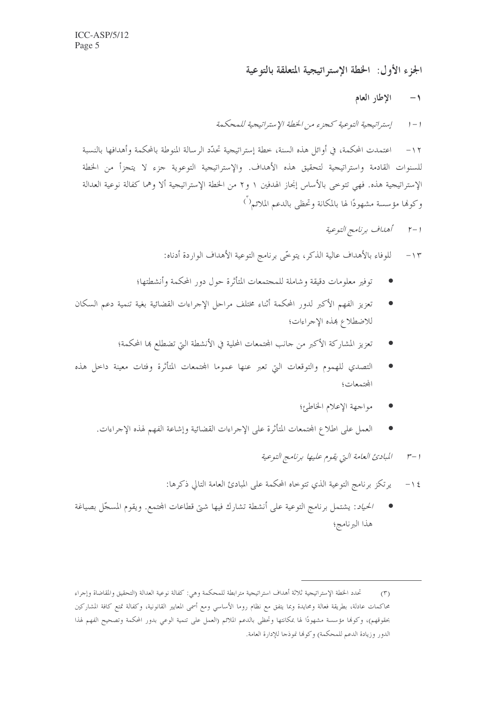الجزء الأول: الخطة الإستراتيجية المتعلقة بالتوعية

الإطار العام  $\rightarrow$ 

إستراتيجية التوعية كجزء من الخطة الإستراتيجية للمحكمة  $1 - 1$ 

١٢ – اعتمدت المحكمة، في أوائل هذه السنة، خطة إستراتيجية تحدَّد الرسالة المنوطة بالمحكمة وأهدافها بالنسبة للسنوات القادمة واستراتيجية لتحقيق هذه الأهداف. والإستراتيجية التوعوية جزء لا يتجزأ من الخطة الإستراتيجية هذه. فهي تتوخى بالأساس إنجاز الهدفين ١ و٢ من الخطة الإستراتيجية ألا وهما كفالة نوعية العدالة وكوفيا مؤسسة مشهودًا لها بالمكانة وتحظى بالدعم الملائم<sup>( )</sup>

1 - ٢ - أهداف برنامج التوعية

للوفاء بالأهداف عالية الذكر، يتوحَّى برنامج التوعية الأهداف الواردة أدناه:  $-1$ 

- توفير معلومات دقيقة وشاملة للمجتمعات المتأثرة حول دور المحكمة وأنشطتها؛
- تعزيز الفهم الأكبر لدور المحكمة أثناء مختلف مراحل الإجراءات القضائية بغية تنمية دعم السكان للاضطلاع بهذه الإجراءات؛
	- تعزيز المشاركة الأكبر من حانب المحتمعات المحلية في الأنشطة التي تضطلع بما المحكمة؛
- التصدي للهموم والتوقعات التي تعبر عنها عموما المحتمعات المتأثرة وفئات معينة داحل هذه المجتمعات؛
	- مواجهة الإعلام الخاطئ؛
	- العمل على اطلاع المحتمعات المتأثرة على الإحراءات القضائية وإشاعة الفهم لهذه الإحراءات.

ا –٣ المبادئ العامة التي يقوم عليها برنامج التوعية

- يرتكز برنامج التوعية الذي تتوخاه المحكمة على المبادئ العامة التالي ذكرها:  $-15$
- الحي*اد*: يشتمل برنامج التوعية على أنشطة تشارك فيها شتى قطاعات المحتمع. ويقوم المسجّل بصياغة هذا البرنامج؛

تحدد الخطة الإستراتيجية ثلاثة أهداف استراتيجية مترابطة للمحكمة وهي: كفالة نوعية العدالة (التحقيق والمقاضاة وإجراء  $(\Upsilon)$ محاكمات عادلة، بطريقة فعالة ومحايدة وبما يتفق مع نظام روما الأساسي ومع أسمى المعايير القانونية، وكفالة تمتع كافة المشاركين بحقوقهم)، وكوفا مؤسسة مشهودًا لها بمكانتها وتحظى بالدعم الملائم (العمل على تنمية الوعي بدور المحكمة وتصحيح الفهم لهذا الدور وزيادة الدعم للمحكمة) وكوفما نموذجا للإدارة العامة.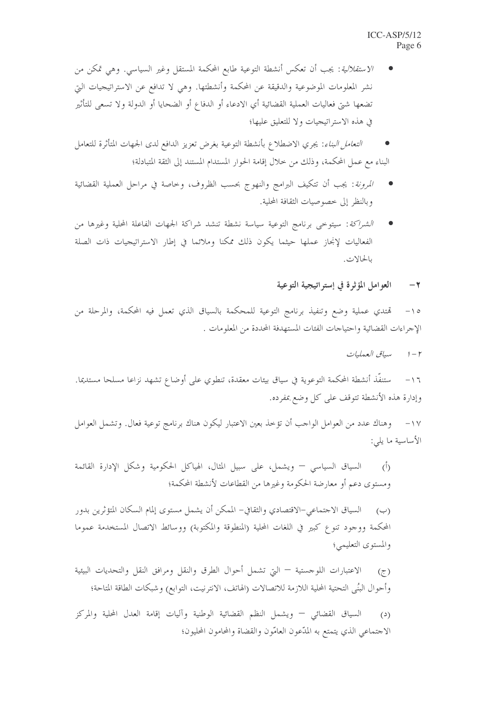- الاس*تقلالية*: يجب أن تعكس أنشطة التوعية طابع المحكمة المستقل وغير السياسي. وهي تمكن من نشر المعلومات الموضوعية والدقيقة عن المحكمة وأنشطتها. وهي لا تدافع عن الاستراتيجيات التي تضعها شتى فعاليات العملية القضائية أي الادعاء أو الدفاع أو الضحايا أو الدولة ولا تسعى للتأثير في هذه الاستراتيجيات ولا للتعليق عليها؛
- *التعامل البناء*: يجري الاضطلاع بأنشطة التوعية بغرض تعزيز الدافع لدى الجهات المتأثرة للتعامل البناء مع عمل المحكمة، وذلك من حلال إقامة الحوار المستدام المستند إلى الثقة المتبادلة؛
- *المرونة*: يجب أن تتكيف البرامج والنهوج بحسب الظروف، وخاصة في مراحل العملية القضائية وبالنظر إلى خصوصيات الثقافة المحلية.
- الشراكة: سيتوحى برنامج التوعية سياسة نشطة تنشد شراكة الجهات الفاعلة المحلية وغيرها من الفعاليات لإنحاز عملها حيثما يكون ذلك ممكنا وملائما في إطار الاستراتيجيات ذات الصلة بالحالات.

#### العوامل المؤثرة في إستراتيجية التوعية  $-7$

تمتدي عملية وضع وتنفيذ برنامج التوعية للمحكمة بالسياق الذي تعمل فيه المحكمة، والمرحلة من  $-10$ الإجراءات القضائية واحتياجات الفئات المستهدفة المحددة من المعلومات .

ستنفَّذ أنشطة المحكمة التوعوية في سياق بيئات معقدة، تنطوي على أوضاع تشهد نزاعا مسلحا مستديما.  $-17$ وإدارة هذه الأنشطة تتوقف على كل وضع بمفرده.

وهناك عدد من العوامل الواحب أن تؤخذ بعين الاعتبار ليكون هناك برنامج توعية فعال. وتشمل العوامل  $-1V$ الأساسية ما يلي:

السياق السياسي – ويشمل، على سبيل المثال، الهياكل الحكومية وشكل الإدارة القائمة  $\overline{(\overline{)}\,}$ ومستوى دعم أو معارضة الحكومة وغيرها من القطاعات لأنشطة المحكمة؛

السياق الاحتماعي–الاقتصادي والثقافي– الممكن أن يشمل مستوى إلمام السكان المتؤثرين بدور  $(\hookrightarrow)$ المحكمة ووجود تنوع كبير في اللغات المحلية (المنطوقة والمكتوبة) ووسائط الاتصال المستخدمة عموما والمستوى التعليمي؛

الاعتبارات اللوحستية — التي تشمل أحوال الطرق والنقل ومرافق النقل والتحديات البيئية  $(\tau)$ وأحوال البنُى التحتية المحلية اللازمة للاتصالات (الهاتف، الانترنيت، التوابع) وشبكات الطاقة المتاحة؛

السياق القضائي — ويشمل النظم القضائية الوطنية وآليات إقامة العدل المحلية والمركز  $(2)$ الاجتماعي الذي يتمتع به المدّعون العامّون والقضاة والمحامون المحليون؛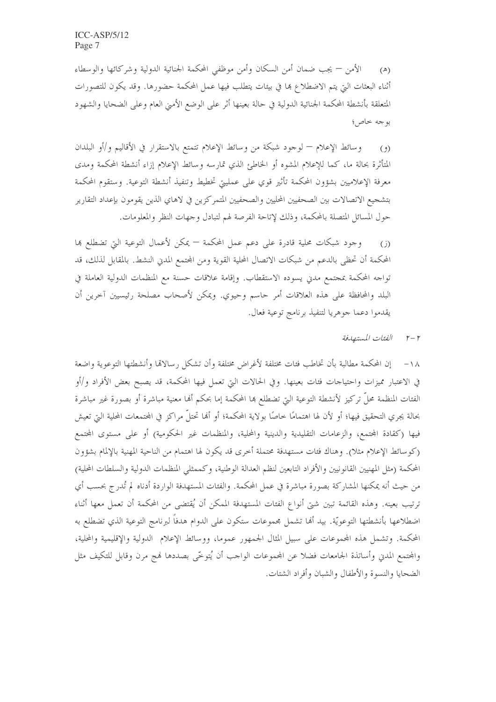الأمن — يجب ضمان أمن السكان وأمن موظفى المحكمة الجنائية الدولية وشركائها والوسطاء  $(\triangle)$ أثناء البعثات التي يتم الاضطلاع بما في بيئات يتطلب فيها عمل المحكمة حضورها. وقد يكون للتصورات المتعلقة بأنشطة المحكمة الجنائية الدولية في حالة بعينها أثر على الوضع الأمني العام وعلى الضحايا والشهود بو جه خاص؛

وسائط الإعلام — لوجود شبكة من وسائط الإعلام تتمتع بالاستقرار في الأقاليم و/أو البلدان  $(9)$ المتأثرة بحالة ما، كما للإعلام المشوه أو الخاطئ الذي تمارسه وسائط الإعلام إزاء أنشطة المحكمة ومدى معرفة الإعلاميين بشؤون المحكمة تأثير قوي على عمليتي تخطيط وتنفيذ أنشطة التوعية. وستقوم المحكمة بتشجيع الاتصالات بين الصحفيين المحليين والصحفيين المتمركزين في لاهاي الذين يقومون بإعداد التقارير حول المسائل المتصلة بالمحكمة، وذلك لإتاحة الفرصة لهم لتبادل وجهات النظر والمعلومات.

وجود شبكات محلية قادرة على دعم عمل المحكمة — يمكن لأعمال التوعية التي تضطلع بما  $(i)$ المحكمة أن تحظى بالدعم من شبكات الاتصال المحلية القوية ومن المحتمع المدني النشط. بالمقابل لذلك، قد تواجه المحكمة بمجتمع مدين يسوده الاستقطاب. وإقامة علاقات حسنة مع المنظمات الدولية العاملة في البلد والمحافظة على هذه العلاقات أمر حاسم وحيوي. ويمكن لأصحاب مصلحة رئيسيين آخرين أن يقدموا دعما جوهريا لتنفيذ برنامج توعية فعال.

٢ -٢ الفئات المستهدفة

١٨ – إن المحكمة مطالبة بأن تخاطب فئات مختلفة لأغراض مختلفة وأن تشكل رسالاقما وأنشطتها التوعوية واضعة في الاعتبار مميزات واحتياحات فئات بعينها. وفي الحالات التي تعمل فيها المحكمة، قد يصبح بعض الأفراد و/أو الفئات المنظمة محلٌّ تركيز لأنشطة التوعية التي تضطلع بما المحكمة إما بحكم أنما معنية مباشرة أو بصورة غير مباشرة بحالة يجري التحقيق فيها؛ أو لأن لها اهتمامًا حاصًا بولاية المحكمة؛ أو ألها تحتلُّ مراكز في المحتمعات المحلية التي تعيش فيها (كقادة المجتمع، والزعامات التقليدية والدينية والمحلية، والمنظمات غير الحكومية) أو على مستوى المحتمع (كوسائط الإعلام مثلا). وهناك فئات مستهدفة محتملة أخرى قد يكون لها اهتمام من الناحية المهنية بالإلمام بشؤون المحكمة (مثل المهنيين القانونيين والأفراد التابعين لنظم العدالة الوطنية، وكممثلي المنظمات الدولية والسلطات المحلية) من حيث أنه يمكنها المشاركة بصورة مباشرة في عمل المحكمة. والفئات المستهدفة الواردة أدناه لم تُدرج بحسب أي ترتيب بعينه. وهذه القائمة تبين شيّ أنواع الفئات المستهدفة الممكن أن يُقتضى من المحكمة أن تعمل معها أثناء اضطلاعها بأنشطتها التوعويّة. بيد أُلها تشمل مجموعات ستكون على الدوام هدفاً لبرنامج التوعية الذي تضطلع به المحكمة. وتشمل هذه المحموعات على سبيل المثال الجمهور عموما، ووسائط الإعلام الدولية والإقليمية والمحلية، والمحتمع المدن وأساتذة الجامعات فضلا عن المحموعات الواحب أن يُتوخَّى بصددها فمج مرن وقابل للتكيف مثل الضحايا والنسوة والأطفال والشبان وأفراد الشتات.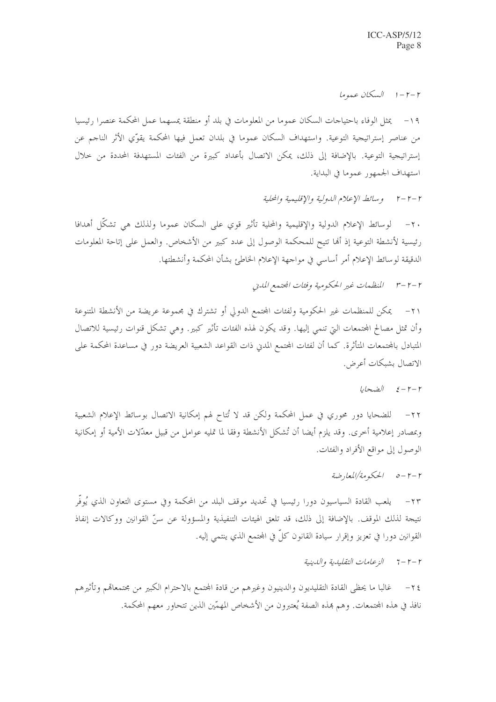$l$ - $r-r$   $l$   $l$   $\sqrt{l}$   $l-r-r$ 

١٩ – يمثل الوفاء باحتياجات السكان عموما من المعلومات في بلد أو منطقة يمسهما عمل المحكمة عنصرا رئيسيا من عناصر إستراتيجية التوعية. واستهداف السكان عموما في بلدان تعمل فيها المحكمة يقوِّي الأثر الناجم عن إستراتيجية التوعية. بالإضافة إلى ذلك، يمكن الاتصال بأعداد كبيرة من الفئات المستهدفة المحددة من حلال استهداف الجمهور عموما في البداية.

٢ -٢ - ٢ \_ وسائط الإعلام الدولية والإقليمية والمحلية

٢٠ – لوسائط الإعلام الدولية والإقليمية والمحلية تأثير قوى على السكان عموما ولذلك هي تشكَّل أهدافا رئيسية لأنشطة التوعية إذ ألها تتيح للمحكمة الوصول إلى عدد كبير من الأشخاص. والعمل على إتاحة المعلومات الدقيقة لوسائط الإعلام أمر أساسي في مواجهة الإعلام الخاطئ بشأن المحكمة وأنشطتها.

٢١– يمكن للمنظمات غير الحكومية ولفئات المجتمع الدولي أو تشترك في مجموعة عريضة من الأنشطة المتنوعة وأن تمثل مصالح المجتمعات التي تنمي إليها. وقد يكون لهذه الفئات تأثير كبير. وهي تشكل قنوات رئيسية للاتصال المتبادل بالمحتمعات المتأثرة. كما أن لفئات المحتمع المدين ذات القواعد الشعبية العريضة دور في مساعدة المحكمة على الاتصال بشبكات أعرض.

 $L$ 

٢٢– للضحايا دور محوري في عمل المحكمة ولكن قد لا تُتاح لهم إمكانية الاتصال بوسائط الإعلام الشعبية وبمصادر إعلامية أخرى. وقد يلزم أيضا أن تُشكل الأنشطة وفقا لما تمليه عوامل من قبيل معدّلات الأمية أو إمكانية الوصول إلى مواقع الأفراد والفئات.

٢٣– يلعب القادة السياسيون دورا رئيسيا في تحديد موقف البلد من المحكمة وفي مستوى التعاون الذي يُوفّر نتيجة لذلك الموقف. بالإضافة إلى ذلك، قد تلعق الهيئات التنفيذية والمسؤولة عن سنِّ القوانين ووكالات إنفاذ القوانين دورا في تعزيز وإقرار سيادة القانون كلِّ في المحتمع الذي ينتمي إليه.

٢ – ٢ – 7 – الزعامات التقليدية والدينية

غالبا ما يحظى القادة التقليديون والدينيون وغيرهم من قادة المحتمع بالاحترام الكبير من مجتمعاقمم وتأثيرهم  $-\tau$  { نافذ في هذه الجتمعات. وهم هذه الصفة يُعتبرون من الأشخاص المهمّين الذين تتحاور معهم المحكمة.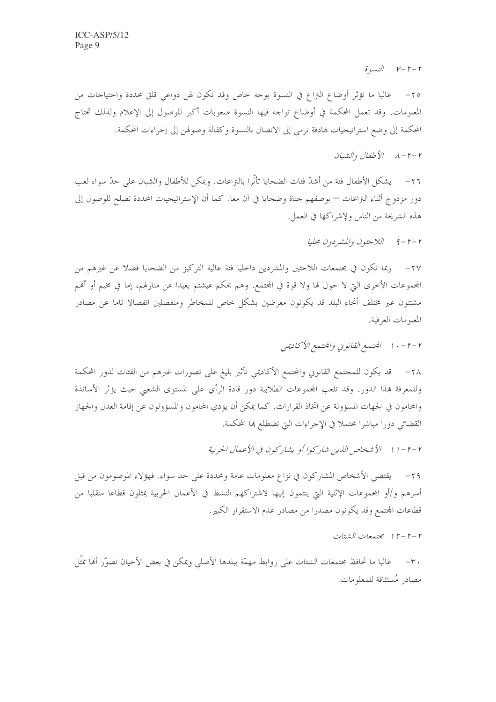$\delta$  given  $V-Y-Y$ 

٢٥- غالبا ما تؤثَّر أوضاع النزاع في النسوة بوجه خاص وقد تكون لهن دواعي قلق محددة واحتياجات من المعلومات. وقد تعمل المحكمة في أوضاع تواحه فيها النسوة صعوبات أكبر للوصول إلى الإعلام ولذلك تحتاج المحكمة إلى وضع استراتيجيات هادفة ترمى إلى الاتصال بالنسوة وكفالة وصولهن إلى إجراءات المحكمة.

## $\mathcal{N} - \mathcal{Y} - \mathcal{N}$  الأطفال والشيان

يشكل الأطفال فئة من أشدّ فئات الضحايا تأثُّرا بالنزاعات. ويمكن للأطفال والشبان على حدٌّ سواء لعب  $-\tau$ دور مزدوج أثناء التراعات — بوصفهم جناة وضحايا في آن معا. كما أن الإستراتيجيات المحددة تصلح للوصول إلى هذه الشريحة من الناس ولإشراكها في العمل.

 $Ll - r - r$  اللاجئون والمشردون محليا

المجموعات الأخرى التي لا حول لها ولا قوة في المجتمع. وهم بحكم عيشتم بعيدا عن منازلهم، إما في مخيم أو أُهُم مشتتون عبر مختلف أنحاء البلد قد يكونون معرضين بشكل حاص للمخاطر ومنفصلين انفصالا تاما عن مصادر المعلومات العرفية.

٢٨– قد يكون للمجتمع القانوني والمجتمع الأكاديمي تأثير بليغ على تصورات غيرهم من الفئات لدور المحكمة وللمعرفة بمذا الدور. وقد تلعب المحموعات الطلابية دور قادة الرأي على المستوى الشعبي حيث يؤثر الأساتذة والمحامون في الجحهات المسؤولة عن اتخاذ القرارات. كما يمكن أن يؤدي المحامون والمسؤولون عن إقامة العدل والجهاز القضائمي دورا مباشرا محتملاً في الإجراءات التي تضطلع ها المحكمة.

٢ –٢ – ١ ١ - الأشخاص اللدين شاركوا أو يشاركون في الأعمال الحربية

٢٩ – يقتضى الأشخاص المشاركون في نزاع معلومات عامة ومحددة على حد سواء. فهؤلاء الموصومون من قبل أسرهم و/أو المحموعات الإثنية التي ينتمون إليها لاشتراكهم النشط في الأعمال الحربية يمثلون قطاعا متقلبا من قطاعات المحتمع وقد يكونون مصدرا من مصادر عدم الاستقرار الكبير.

٢ -٢ -٢ ١ مجتمعات الشتات

٣٠– غالبا ما تحافظ مجتمعات الشتات على روابط مهمَّة ببلدها الأصلي ويمكن في بعض الأحيان تصوَّر ألها تمثَّل مصادر مُستثاقة للمعلومات.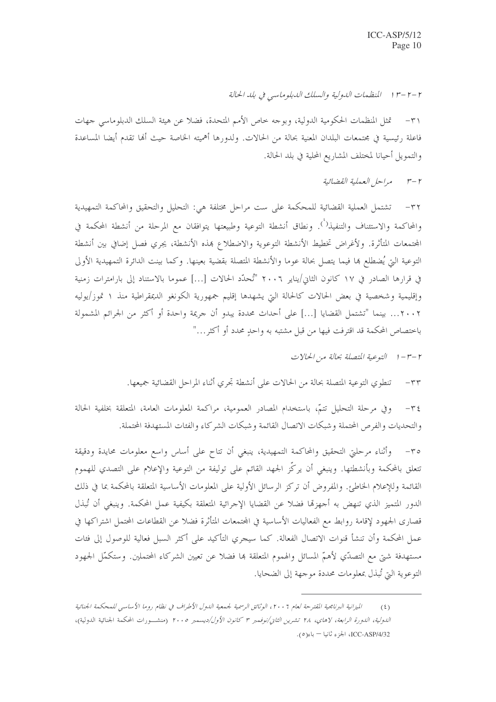٢ -٢ -٣ ١ /المنظهات اللهولية والسلك اللدبلوماسي في بلد الحالة

تمثل المنظمات الحكومية الدولية، وبوحه حاص الأمم المتحدة، فضلاً عن هيئة السلك الدبلوماسي جهات  $-\tau$ فاعلة رئيسية في مجتمعات البلدان المعنية بحالة من الحالات. ولدورها أهميته الخاصة حيث ألها تقدم أيضا المساعدة والتمويل أحيانا لمختلف المشاريع المحلية في بلد الحالة.

> مراحل العملية القضائية  $r-r$

٣٢ – تشتمل العملية القضائية للمحكمة على ست مراحل مختلفة هي: التحليل والتحقيق والمحاكمة التمهيدية والمحاكمة والاستئناف والتنفيذ<sup>(`</sup>). ونطاق أنشطة التوعية وطبيعتها يتوافقان مع المرحلة من أنشطة المحكمة في المحتمعات المتأثرة. ولأغراض تخطيط الأنشطة التوعوية والاضطلاع بمذه الأنشطة، يجري فصل إضافي بين أنشطة التوعية التي يُضطلع ها فيما يتصل بحالة عوما والأنشطة المتصلة بقضية بعينها. وكما بينت الدائرة التمهيدية الأولى في قرارها الصادر في ١٧ كانون الثاني/يناير ٢٠٠٦ "تُحدِّد الحالات [...] عموما بالاستناد إلى بارامترات زمنية وإقليمية وشخصية في بعض الحالات كالحالة التي يشهدها إقليم جمهورية الكونغو الديمقراطية منذ ١ تموز/يوليه ٢٠٠٢... بينما "تشتمل القضايا [...] على أحداث محددة يبدو أن جريمة واحدة أو أكثر من الجرائم المشمولة باختصاص المحكمة قد اقترفت فيها من قبل مشتبه به واحدٍ محدد أو أكثر …"

٢-٣-١ التوعية المتصلة بحالة من الحالات

تنطوي التوعية المتصلة بحالة من الحالات على أنشطة تجري أثناء المراحل القضائية جميعها.  $-\tau\tau$ 

وفي مرحلة التحليل تتمّ، باستخدام المصادر العمومية، مراكمة المعلومات العامة، المتعلقة بخلفية الحالة  $-\tau$  { والتحديات والفرص المحتملة وشبكات الاتصال القائمة وشبكات الشركاء والفئات المستهدفة المحتملة.

وأثناء مرحلتي التحقيق والمحاكمة التمهيدية، ينبغي أن تتاح على أساس واسع معلومات محايدة ودقيقة  $-\tau \circ$ تتعلق بالمحكمة وبأنشطتها. وينبغي أن يركّز الجهد القائم على توليفة من التوعية والإعلام على التصدي للهموم القائمة وللإعلام الخاطئ. والمفروض أن تركز الرسائل الأولية على المعلومات الأساسية المتعلقة بالمحكمة بما في ذلك الدور المتميز الذي تنهض به أجهزهًا فضلاً عن القضايا الإجرائية المتعلقة بكيفية عمل المحكمة. وينبغي أن تُبذل قصارى الجهود لإقامة روابط مع الفعاليات الأساسية في المجتمعات المتأثرة فضلا عن القطاعات المحتمل اشتراكها في عمل المحكمة وأن تنشأ قنوات الاتصال الفعالة. كما سيجري التأكيد على أكثر السبل فعالية للوصول إلى فئات مستهدفة شيٍّ مع التصدِّي لأهمُّ المسائل والهموم المتعلقة بما فضلاً عن تعيين الشركاء المحتملين. وستكمَّل الجهود التوعوية التي تُبذل بمعلومات محددة موجهة إلى الضحايا.

الميزانية البرنامجية المقترحة لعام ٢٠٠٦، الوثائق الرسمية لجمعية الدول الأطراف في نظام روما الأساسي للمحكمة الجنائية  $(5)$ *الدولية، الدورة الرابعة، لاهاي، ٢٨ تشري<sub>ق</sub> الثاني/نوفممبر ٣ كانون الأول/ديسمبر ٢٠٠٥* (منشــورات المحكمة الجنائية الدولية)، ICC-ASP/4/32، الجزء ثانيا – باء(٥).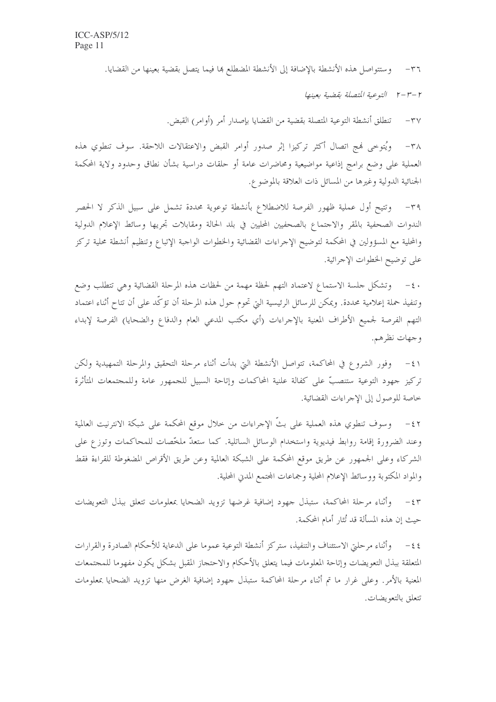وستتواصل هذه الأنشطة بالإضافة إلى الأنشطة المضطلع بما فيما يتصل بقضية بعينها من القضايا.  $-\tau$ 

٢-٣-٢ التوعية المتصلة بقضية بعينها

تنطلق أنشطة التوعية المتصلة بقضية من القضايا بإصدار أمر (أوامر) القبض.  $-\tau v$ 

ويُتوحى فيج اتصال أكثر تركيزا إثر صدور أوامر القبض والاعتقالات اللاحقة. سوف تنطوي هذه  $-\tau \wedge$ العملية على وضع برامج إذاعية مواضيعية ومحاضرات عامة أو حلقات دراسية بشأن نطاق وحدود ولاية المحكمة الجنائية الدولية وغيرها من المسائل ذات العلاقة بالموضوع.

وتتيح أول عملية ظهور الفرصة للاضطلاع بأنشطة توعوية محددة تشمل على سبيل الذكر لا الحصر  $-\tau$ 9 الندوات الصحفية بالمقر والاحتماع بالصحفيين المحليين في بلد الحالة ومقابلات تجريها وسائط الإعلام الدولية والمحلية مع المسؤولين في المحكمة لتوضيح الإجراءات القضائية والخطوات الواجبة الإتباع وتنظيم أنشطة محلية تركز على توضيح الخطوات الإجرائية.

· ٤- وتشكل حلسة الاستماع لاعتماد التهم لحظة مهمة من لحظات هذه المرحلة القضائية وهي تتطلب وضع وتنفيذ حملة إعلامية محددة. ويمكن للرسائل الرئيسية التي تحوم حول هذه المرحلة أن تؤكّد على أن تتاح أثناء اعتماد التهم الفرصة لجميع الأطراف المعنية بالإحراءات (أي مكتب المدعى العام والدفاع والضحايا) الفرصة لإبداء وجهات نظرهم.

٤١ – وفور الشروع في المحاكمة، تتواصل الأنشطة التي بدأت أثناء مرحلة التحقيق والمرحلة التمهيدية ولكن تركيز جهود التوعية ستنصبُّ على كفالة علنية المحاكمات وإتاحة السبيل للجمهور عامة وللمجتمعات المتأثرة خاصة للوصول إلى الإجراءات القضائية.

وسوف تنطوي هذه العملية على بثَّ الإجراءات من حلال موقع المحكمة على شبكة الانترنيت العالمية  $-\xi$   $\zeta$ وعند الضرورة إقامة روابط فيديوية واستخدام الوسائل الساتلية. كما ستعدّ ملخَّصات للمحاكمات وتوزع على الشركاء وعلى الجمهور عن طريق موقع المحكمة على الشبكة العالمية وعن طريق الأقراص المضغوطة للقراءة فقط والمواد المكتوبة ووسائط الإعلام المحلية وجماعات المحتمع المدن المحلية.

٤٣ - وأثناء مرحلة المحاكمة، ستبذل جهود إضافية غرضها تزويد الضحايا بمعلومات تتعلق ببذل التعويضات حيث إن هذه المسألة قد تُثار أمام المحكمة.

٤٤ – وأثناء مرحلتي الاستئناف والتنفيذ، ستركز أنشطة التوعية عموما على الدعاية للأحكام الصادرة والقرارات المتعلقة ببذل التعويضات وإتاحة المعلومات فيما يتعلق بالأحكام والاحتجاز المقبل بشكل يكون مفهوما للمجتمعات المعنية بالأمر . وعلى غرار ما تم أثناء مرحلة المحاكمة ستبذل جهود إضافية الغرض منها تزويد الضحايا بمعلومات تتعلق بالتعويضات.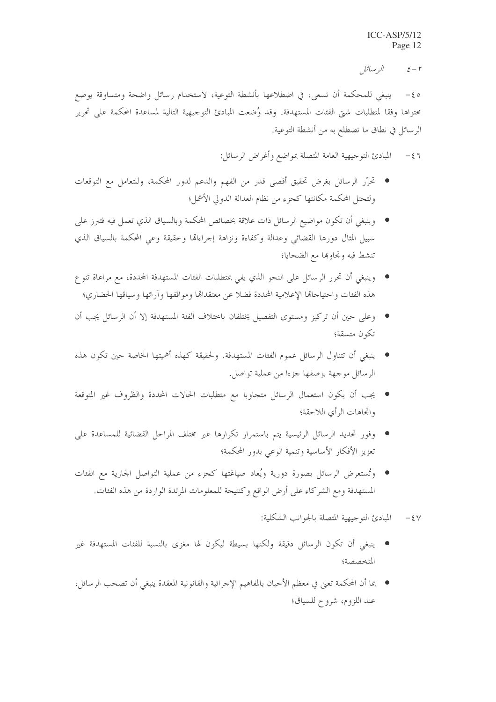البر سائل  $\xi - \zeta$ 

ينبغي للمحكمة أن تسعى، في اضطلاعها بأنشطة التوعية، لاستخدام رسائل واضحة ومتساوقة يوضع  $-\xi$   $\circ$ محتواها وفقا لمتطلبات شتى الفئات المستهدفة. وقد وُضعت المبادئ التوجيهية التالية لمساعدة المحكمة على تحرير الرسائل في نطاق ما تضطلع به من أنشطة التوعية.

> المبادئ التوجيهية العامة المتصلة بمواضع وأغراض الرسائل:  $-\xi$

- تحرَّر الرسائل بغرض تحقيق أقصى قدرٍ من الفهم والدعم لدورٍ المحكمة، وللتعامل مع التوقعات ولتحتل المحكمة مكانتها كجزء من نظام العدالة الدولي الأشمل؛
- وينبغي أن تكون مواضيع الرسائل ذات علاقة بخصائص المحكمة وبالسياق الذي تعمل فيه فتبرز على سبيل المثال دورها القضائي وعدالة وكفاءة ونزاهة إجراءاقما وحقيقة وعى المحكمة بالسياق الذي تنشط فيه وتحاوها مع الضحايا؛
- وينبغي أن تحرر الرسائل على النحو الذي يفي بمتطلبات الفئات المستهدفة المحددة، مع مراعاة تنو ع هذه الفئات واحتياحاقما الإعلامية المحددة فضلا عن معتقداقما ومواقفها وآرائها وسياقها الحضاري؛
- وعلى حين أن تركيز ومستوى التفصيل يختلفان باحتلاف الفئة المستهدفة إلا أن الرسائل يجب أن تكون متسقة؛
- ينبغي أن تتناول الرسائل عموم الفئات المستهدفة. ولحقيقة كهذه أهميتها الخاصة حين تكون هذه الرسائل موجهة بوصفها جزءا من عملية تواصل.
- يجب أن يكون استعمال الرسائل متجاوبا مع متطلبات الحالات المحددة والظروف غير المتوقعة واتجاهات الرأى اللاحقة؛
- وفور تحديد الرسائل الرئيسية يتم باستمرار تكرارها عبر مختلف المراحل القضائية للمساعدة على تعزيز الأفكار الأساسية وتنمية الوعي بدور المحكمة؛
- وتُستعرض الرسائل بصورة دورية ويُعاد صياغتها كجزء من عملية التواصل الجارية مع الفئات المستهدفة ومع الشركاء على أرض الواقع وكنتيجة للمعلومات المرتدة الواردة من هذه الفئات.
	- المبادئ التوجيهية المتصلة بالجوانب الشكلية:  $-5V$
- ينبغي أن تكون الرسائل دقيقة ولكنها بسيطة ليكون لها مغزى بالنسبة للفئات المستهدفة غير المتخصصة؛
- بما أن المحكمة تعني في معظم الأحيان بالمفاهيم الإجرائية والقانونية المعقدة ينبغي أن تصحب الرسائل، عند اللزوم، شروح للسياق؛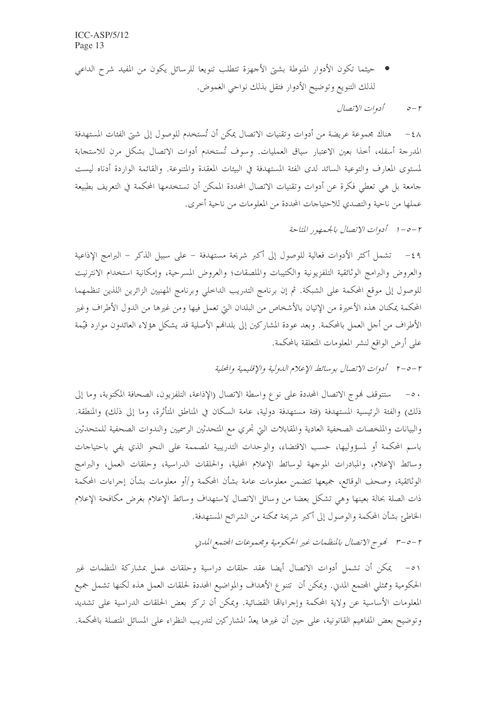● حيثما تكون الأدوار المنوطة بشتيّ الأجهزة تتطلب تنويعا للرسائل يكون من المفيد شرح الداعي لذلك التنويع وتوضيح الأدوار فتقل بذلك نواحي الغموض.

> أدوات الاتصال  $\circ$ - $\circ$

٤٨ – هناك بحموعة عريضة من أدوات وتقنيات الاتصال يمكن أن تُستخدم للوصول إلى شتى الفئات المستهدفة المدرجة أسفله، أحذا بعين الاعتبار سياق العمليات. وسوف تُستخدم أدوات الاتصال بشكل مرن للاستجابة لمستوى المعارف والتوعية السائد لدى الفئة المستهدفة في البيئات المعقدة والمتنوعة. والقائمة الواردة أدناه ليست جامعة بل هي تعطي فكرة عن أدوات وتقنيات الاتصال المحددة الممكن أن تستخدمها المحكمة في التعريف بطبيعة عملها من ناحية والتصدي للاحتياجات المحددة من المعلومات من ناحية أخرى.

٢ -٥-١ أدوات الاتصال بالجيمهور المناحة

٤٩ – تشمل أكثر الأدوات فعالية للوصول إلى أكبر شريحة مستهدفة – على سبيل الذكر – البرامج الإذاعية والعروض والبرامج الوثائقية التلفزيونية والكتيبات والملصقات؛ والعروض المسرحية، وإمكانية استخدام الانترنيت للوصول إلى موقع المحكمة على الشبكة. ثم إن برنامج التدريب الداخلي وبرنامج المهنيين الزائرين اللذين تنظمهما المحكمة يمكنان هذه الأحيرة من الإتيان بالأشخاص من البلدان التي تعمل فيها ومن غيرها من الدول الأطراف وغير الأطراف من أجل العمل بالمحكمة. وبعد عودة المشاركين إلى بلدافمم الأصلية قد يشكل هؤلاء العائدون موارد قيّمة على أرض الواقع لنشر المعلومات المتعلقة بالمحكمة.

٢ –٥-٢ أدوات الاتصال بوسائط الإعلام الدولية والإقليمية والحلية

٥٠ – ستتوقف فموج الاتصال المحددة على نوع واسطة الاتصال (الإذاعة، التلفزيون، الصحافة المكتوبة، وما إلى ذلك) والفئة الرئيسية المستهدفة (فئة مستهدفة دولية، عامة السكان في المناطق المتأثرة، وما إلى ذلك) والمنطقة. والبيانات والملخصات الصحفية العادية والمقابلات التي تجري مع المتحدثين الرسميين والندوات الصحفية للمتحدثين باسم المحكمة أو لمسؤوليها، حسب الاقتضاء، والوحدات التدريبية المصممة على النحو الذي يفي باحتياحات وسائط الإعلام، والمبادرات الموجهة لوسائط الإعلام المحلية، والحلقات الدراسية، وحلقات العمل، والبرامج الوثائقية، وصحف الوقائع، جميعها تتضمن معلومات عامة بشأن المحكمة و/أو معلومات بشأن إجراءات المحكمة ذات الصلة بحالة بعينها وهي تشكل بعضا من وسائل الاتصال لاستهداف وسائط الإعلام بغرض مكافحة الإعلام الخاطئ بشأن المحكمة والوصول إلى أكبر شريحة ممكنة من الشرائح المستهدفة.

٥١ – يمكن أن تشمل أدوات الاتصال أيضا عقد حلقات دراسية وحلقات عمل بمشاركة المنظمات غير الحكومية وممثلي المحتمع المدين. ويمكن أن تتنوع الأهداف والمواضيع المحددة لحلقات العمل هذه لكنها تشمل جميع المعلومات الأساسية عن ولاية المحكمة وإجراءاقما القضائية. ويمكن أن تركز بعض الحلقات الدراسية على تشديد وتوضيح بعض المفاهيم القانونية، على حين أن غيرها يعدّ المشاركين لتدريب النظراء على المسائل المتصلة بالمحكمة.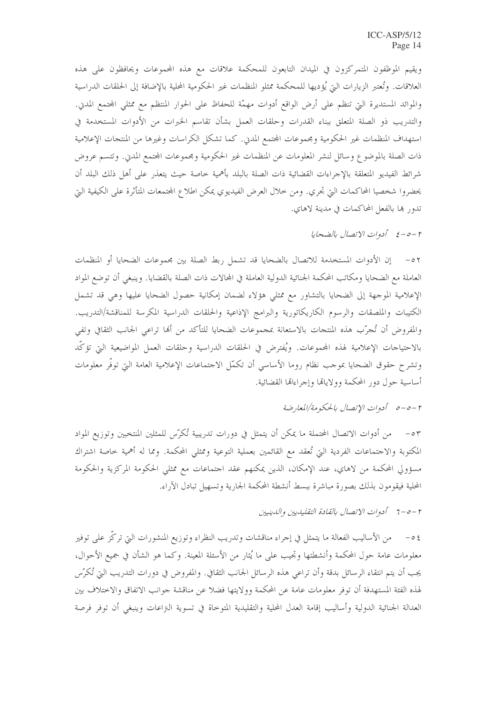ويقيم الموظفون المتمركزون في الميدان التابعون للمحكمة علاقات مع هذه المحموعات ويحافظون على هذه العلاقات. وتُعتبر الزيارات التي يُؤديها للمحكمة ممثلو المنظمات غير الحكومية المحلية بالإضافة إلى الحلقات الدراسية والموائد المستديرة التي تنظم على أرض الواقع أدوات مهمّة للحفاظ على الحوار المنتظم مع ممثلي المحتمع المدين. والتدريب ذو الصلة المتعلق ببناء القدرات وحلقات العمل بشأن تقاسم الخبرات من الأدوات المستخدمة في استهداف المنظمات غير الحكومية ومحموعات المحتمع المدين. كما تشكل الكراسات وغيرها من المنتجات الإعلامية ذات الصلة بالموضوع وسائل لنشر المعلومات عن المنظمات غير الحكومية ومجموعات المحتمع المدني. وتتسم عروض شرائط الفيديو المتعلقة بالإحراءات القضائية ذات الصلة بالبلد بأهمية حاصة حيث يتعذر على أهل ذلك البلد أن يحضروا شخصيا المحاكمات التي تحري. ومن خلال العرض الفيديوي يمكن اطلاع المحتمعات المتأثرة على الكيفية التي تدور ها بالفعل المحاكمات في مدينة لاهاي.

٢-٥-٤ أدوات الاتصال بالضحايا

٥٢ - إن الأدوات المستخدمة للاتصال بالضحايا قد تشمل ربط الصلة بين مجموعات الضحايا أو المنظمات العاملة مع الضحايا ومكاتب المحكمة الجنائية الدولية العاملة في المحالات ذات الصلة بالقضايا. وينبغي أن توضع المواد الإعلامية الموجهة إلى الضحايا بالتشاور مع ممثلي هؤلاء لضمان إمكانية حصول الضحايا عليها وهي قد تشمل الكتيبات والملصقات والرسوم الكاريكاتورية والبرامج الإذاعية والحلقات الدراسية المكرسة للمناقشة/التدريب. والمفروض أن تُجرَّب هذه المنتجات بالاستعانة بمجموعات الضحايا للتأكد من ألها تراعى الجانب الثقافي وتفي بالاحتياجات الإعلامية لهذه المحموعات. ويُفترض في الحلقات الدراسية وحلقات العمل المواضيعية التي تؤكَّد وتشرح حقوق الضحايا بموجب نظام روما الأساسي أن تكمَّل الاحتماعات الإعلامية العامة التي توفَّر معلومات أساسية حول دور المحكمة وولاياقما وإجراءاقما القضائية.

٥٣ – من أدوات الاتصال المحتملة ما يمكن أن يتمثل في دورات تدريبية تُكرَّس للمثلين المنتخبين وتوزيع المواد المكتوبة والاحتماعات الفردية التي تُعقد مع القائمين بعملية التوعية وممثلي المحكمة. ومما له أهمية خاصة اشتراك مسؤولي المحكمة من لاهاي، عند الإمكان، الذين يمكنهم عقد احتماعات مع ممثلي الحكومة المركزية والحكومة المحلية فيقومون بذلك بصورة مباشرة ببسط أنشطة المحكمة الجارية وتسهيل تبادل الآراء.

٤٥– من الأساليب الفعالة ما يتمثل في إجراء مناقشات وتدريب النظراء وتوزيع المنشورات التي تركَّز على توفير معلومات عامة حول المحكمة وأنشطتها وتجيب على ما يُثار من الأسئلة المعينة. وكما هو الشأن في جميع الأحوال، يجب أن يتم انتقاء الرسائل بدقة وأن تراعى هذه الرسائل الجانب الثقافي. والمفروض في دورات التدريب التي تُكرّس لهذه الفئة المستهدفة أن توفر معلومات عامة عن المحكمة وولايتها فضلا عن مناقشة جوانب الاتفاق والاختلاف بين العدالة الجنائية الدولية وأساليب إقامة العدل المحلية والتقليدية المتوحاة في تسوية النزاعات وينبغي أن توفر فرصة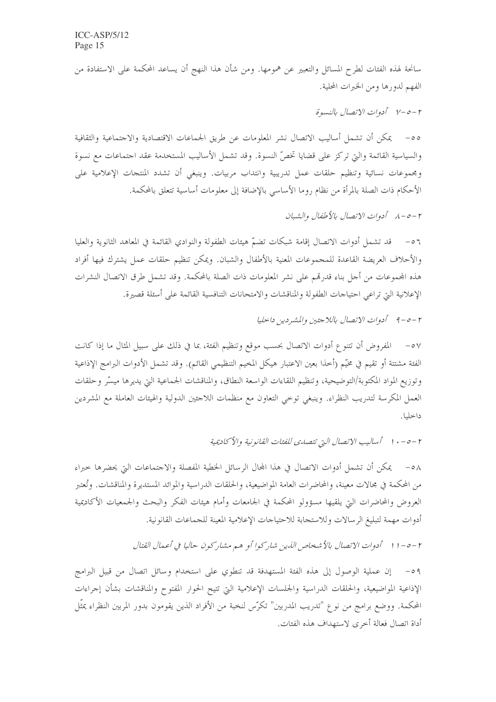سانحة لهذه الفئات لطرح المسائل والتعبير عن همومها. ومن شأن هذا النهج أن يساعد المحكمة على الاستفادة من الفهم لدورها ومن الخبرات المحلية.

٢ -٥-٧ أدوات الاتصال بالنسوة

٥٥- يمكن أن تشمل أساليب الاتصال نشر المعلومات عن طريق الجماعات الاقتصادية والاجتماعية والثقافية والسياسية القائمة والتي تركز على قضايا تخصُّ النسوة. وقد تشمل الأساليب المستخدمة عقد احتماعات مع نسوة ومجموعات نسائية وتنظيم حلقات عمل تدريبية وانتداب مربيات. وينبغي أن تشدد المنتجات الإعلامية على الأحكام ذات الصلة بالمرأة من نظام روما الأساسي بالإضافة إلى معلومات أساسية تتعلق بالمحكمة.

٢ –٥ –٨ \_ أدوات الاتصال بالأطفال والشيان

٥٦ – قد تشمل أدوات الاتصال إقامة شبكات تضمّ هيئات الطفولة والنوادي القائمة في المعاهد الثانوية والعليا والأحلاف العريضة القاعدة للمجموعات المعنية بالأطفال والشبان. ويمكن تنظيم حلقات عمل يشترك فيها أفراد هذه المجموعات من أجل بناء قدرهم على نشر المعلومات ذات الصلة بالمحكمة. وقد تشمل طرق الاتصال النشرات الإعلانية التي تراعى احتياجات الطفولة والمناقشات والامتحانات التنافسية القائمة على أسئلة قصيرة.

٥٧ – المفروض أن تتنوع أدوات الاتصال بحسب موقع وتنظيم الفئة، بما في ذلك على سبيل المثال ما إذا كانت الفئة مشتتة أو تقيم في مخيّم (أحذا بعين الاعتبار هيكل المخيم التنظيمي القائم). وقد تشمل الأدوات البرامج الإذاعية وتوزيع المواد المكتوبة/التوضيحية، وتنظيم اللقاءات الواسعة النطاق، والمناقشات الجماعية التي يديرها ميسّر وحلقات العمل المكرسة لتدريب النظراء. وينبغي توخي التعاون مع منظمات اللاحئين الدولية والهيئات العاملة مع المشردين داخليا.

٢ –٥ – ١٠ أساليب الاتصال التي تتصدى للفئات القانونية والأكاديمية

٥٨ – يمكن أن تشمل أدوات الاتصال في هذا المحال الرسائل الخطية المفصلة والاحتماعات التي يحضرها حبراء من المحكمة في مجالات معينة، والمحاضرات العامة المواضيعية، والحلقات الدراسية والموائد المستديرة والمناقشات. وتُعتبر العروض والمحاضرات التي يلقيها مسؤولو المحكمة في الجامعات وأمام هيئات الفكر والبحث والجمعيات الأكاديمية أدوات مهمة لتبليغ الرسالات وللاستجابة للاحتياجات الإعلامية المعينة للجماعات القانونية.

٢ –٥ – ١١ أدوات الاتصال بالأشخاص الذين شاركوا أو هم مشاركون حاليا في أعمال القتال

إن عملية الوصول إلى هذه الفئة المستهدفة قد تنطوي على استخدام وسائل اتصال من قبيل البرامج  $-\circ q$ الإذاعية المواضيعية، والحلقات الدراسية والجلسات الإعلامية التي تتيح الحوار المفتوح والمناقشات بشأن إجراءات المحكمة. ووضع برامج من نوع "تدريب المدربين" تكرّس لنخبة من الأفراد الذين يقومون بدور المربين النظراء يمثّل أداة اتصال فعالة أخرى لاستهداف هذه الفئات.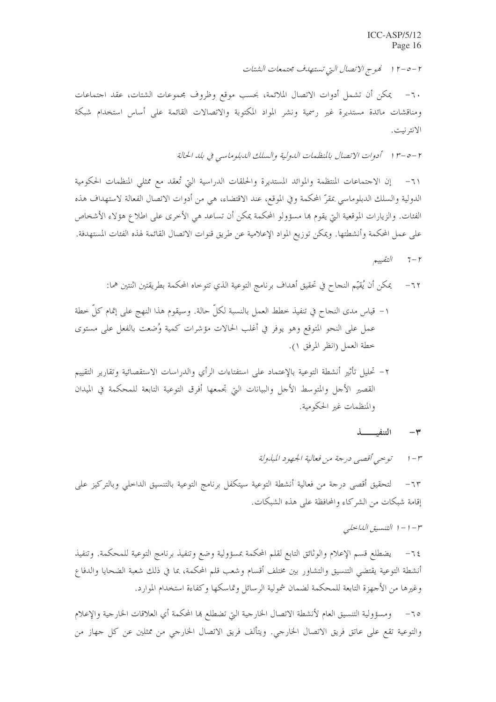٢ –٥ – ٢ ١ فموج الاتصال التي تستهدف محتمعات الشتات

٦٠– يمكن أن تشمل أدوات الاتصال الملائمة، بحسب موقع وظروف مجموعات الشتات، عقد اجتماعات ومناقشات مائدة مستديرة غير رسمية ونشر المواد المكتوبة والاتصالات القائمة على أساس استخدام شبكة الانتر نيت .

٢ –٥ –٣ ١ أدوات الاتصال بالمنظمات الدولية والسلك الدبلوماسي في بلد الحالة

إن الاجتماعات المنتظمة والموائد المستديرة والحلقات الدراسية التي تُعقد مع ممثلي المنظمات الحكومية  $\mathcal{L}$ الدولية والسلك الدبلوماسي عقرّ المحكمة وفي الموقع، عند الاقتضاء، هي من أدوات الاتصال الفعالة لاستهداف هذه الفئات. والزيارات الموقعية التي يقوم بما مسؤولو المحكمة يمكن أن تساعد هي الأخرى على اطلاع هؤلاء الأشخاص على عمل المحكمة وأنشطتها. ويمكن توزيع المواد الإعلامية عن طريق قنوات الاتصال القائمة لهذه الفئات المستهدفة.

- التقييم  $7 - r$
- يمكن أن يُقيِّم النجاح في تحقيق أهداف برنامج التوعية الذي تتوخاه المحكمة بطريقتين اثنتين هما:  $-77$
- ١– قياس مدى النجاح في تنفيذ خطط العمل بالنسبة لكلِّ حالة. وسيقوم هذا النهج على إتمام كلِّ خطة عمل على النحو المتوقع وهو يوفر في أغلب الحالات مؤشرات كمية وُضعت بالفعل على مستوى خطة العمل (انظر المرفق ١).
- ٢– تحليل تأثير أنشطة التوعية بالإعتماد على استفتاءات الرأي والدراسات الاستقصائية وتقارير التقييم القصير الأجل والمتوسط الأحل والبيانات التي تجمعها أفرق التوعية التابعة للمحكمة في الميدان والمنظمات غير الحكومية.

التنفيسس  $\star$ 

٦٣– لتحقيق أقصى درجة من فعالية أنشطة التوعية سيتكفل برنامج التوعية بالتنسيق الداخلي وبالتركيز على إقامة شبكات من الشركاء والمحافظة على هذه الشبكات.

$$
-1 - 1
$$
التنسیق الیانحلي

يضطلع قسم الإعلام والوثائق التابع لقلم المحكمة بمسؤولية وضع وتنفيذ برنامج التوعية للمحكمة. وتنفيذ  $-72$ أنشطة التوعية يقتضى التنسيق والتشاور بين مختلف أقسام وشعب قلم المحكمة، بما في ذلك شعبة الضحايا والدفاع وغيرها من الأجهزة التابعة للمحكمة لضمان شمولية الرسائل وتماسكها وكفاءة استخدام الموارد.

٦٥− ومسؤولية التنسيق العام لأنشطة الاتصال الخارجية التي تضطلع بما المحكمة أي العلاقات الخارجية والإعلام والتوعية تقع على عاتق فريق الاتصال الخارجي. ويتألف فريق الاتصال الخارجي من ممثلين عن كل جهاز من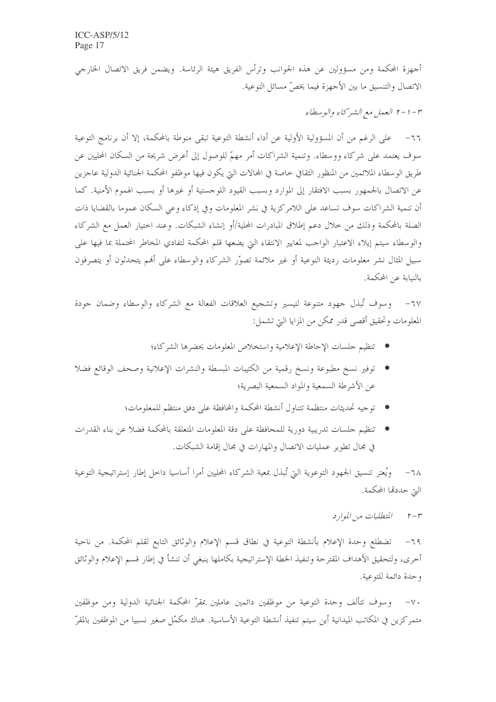أجهزة المحكمة ومن مسؤولين عن هذه الجوانب وترأس الفريق هيئة الرئاسة. ويضمن فريق الاتصال الخارجي الاتصال والتنسيق ما بين الأجهزة فيما يخصِّ مسائل التوعية.

٣ – ١ –٢ العمل مع الشركاء والوسطاء

٦٦– على الرغم من أن المسؤولية الأولية عن أداء أنشطة التوعية تبقى منوطة بالمحكمة، إلا أن برنامج التوعية سوف يعتمد على شركاء ووسطاء. وتنمية الشراكات أمر مهمّ للوصول إلى أعرض شريحة من السكان المحليين عن طريق الوسطاء الملائمين من المنظور الثقافي حاصة في المحالات التي يكون فيها موظفو المحكمة الجنائية الدولية عاجزين عن الاتصال بالجمهور بسبب الافتقار إلى الموارد وبسبب القيود اللوحستية أو غيرها أو بسبب الهموم الأمنية. كما أن تنمية الشراكات سوف تساعد على اللامركزية في نشر المعلومات وفي إذكاء وعي السكان عموما بالقضايا ذات الصلة بالمحكمة وذلك من خلال دعم إطلاق المبادرات المحلية/أو إنشاء الشبكات. وعند اختيار العمل مع الشركاء والوسطاء سيتم إيلاء الاعتبار الواحب لمعايير الانتقاء التي يضعها قلم المحكمة لتفادي المخاطر المحتملة بما فيها على سبيل المثال نشر معلومات رديئة النوعية أو غير ملائمة تصوَّر الشركاء والوسطاء على أفمم يتحدثون أو يتصرفون بالنيابة عن المحكمة.

وسوف تُبذل جهود متنوعة لتيسير وتشجيع العلاقات الفعالة مع الشركاء والوسطاء وضمان جودة  $-7V$ المعلومات وتحقيق أقصى قدر ممكن من المزايا التي تشمل:

- تنظيم جلسات الإحاطة الإعلامية واستخلاص المعلومات يحضرها الشركاء؛
- توفير نسخ مطبوعة ونسخ رقمية من الكتيبات المبسطة والنشرات الإعلانية وصحف الوقائع فضلا عن الأشرطة السمعية والمواد السمعية البصرية؛
	- توجيه تحديثات منتظمة تتناول أنشطة المحكمة والمحافظة على دفق منتظم للمعلومات؛
- تنظيم جلسات تدريبية دورية للمحافظة على دقة المعلومات المتعلقة بالمحكمة فضلا عن بناء القدرات في مجال تطوير عمليات الاتصال والمهارات في مجال إقامة الشبكات.

ويُعتر تنسيق الجهود التوعوية التي تُبذل بمعية الشركاء المحليين أمرا أساسيا داحل إطار إستراتيجية التوعية  $-7\lambda$ التي حددها المحكمة.

> المتطلبات من الموارد  $r-r$

تضطلع وحدة الإعلام بأنشطة التوعية في نطاق قسم الإعلام والوثائق التابع لقلم المحكمة. من ناحية  $-79$ أخرى، ولتحقيق الأهداف المقترحة وتنفيذ الخطة الإستراتيجية بكاملها ينبغي أن تنشأ في إطار قسم الإعلام والوثائق وحدة دائمة للتوعية.

٧٠– وسوف تتألف وحدة التوعية من موظفين دائمين عاملين بمقرّ المحكمة الجنائية الدولية ومن موظفين متمركزين في المكاتب الميدانية أين سيتم تنفيذ أنشطة التوعية الأساسية. هناك مكمّل صغير نسبيا من الموظفين بالمقرّ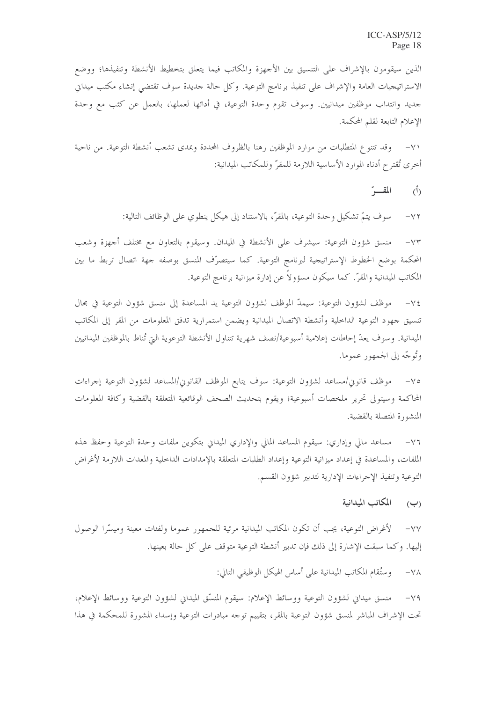الذين سيقومون بالإشراف على التنسيق بين الأحهزة والمكاتب فيما يتعلق بتخطيط الأنشطة وتنفيذها؛ ووضع الاستراتيجيات العامة والإشراف على تنفيذ برنامج التوعية. وكل حالة حديدة سوف تقتضى إنشاء مكتب ميداني جديد وانتداب موظفين ميدانيين. وسوف تقوم وحدة التوعية، في أدائها لعملها، بالعمل عن كثب مع وحدة الإعلام التابعة لقلم المحكمة.

وقد تتنوع المتطلبات من موارد الموظفين رهنا بالظروف المحددة وبمدى تشعب أنشطة التوعية. من ناحية  $-\vee$ أخرى تُقترح أدناه الموارد الأساسية اللازمة للمقرّ وللمكاتب الميدانية:

> المقسر  $(\mathfrak{h})$

سوف يتمّ تشكيل وحدة التوعية، بالمقرّ ، بالاستناد إلى هيكل ينطوي على الوظائف التالية:  $-\vee\Upsilon$ 

منسق شؤون التوعية: سيشرف على الأنشطة في الميدان. وسيقوم بالتعاون مع مختلف أجهزة وشعب  $-\vee\Upsilon$ المحكمة بوضع الخطوط الإستراتيجية لبرنامج التوعية. كما سيتصرّف المنسق بوصفه جهة اتصال تربط ما بين المكاتب الميدانية والمقرّ. كما سيكون مسؤولا عن إدارة ميزانية برنامج التوعية.

موظف لشؤون التوعية: سيمدّ الموظف لشؤون التوعية يد المساعدة إلى منسق شؤون التوعية في مجال  $-\vee \xi$ تنسيق جهود التوعية الداخلية وأنشطة الاتصال الميدانية ويضمن استمرارية تدفق المعلومات من المقر إلى المكاتب الميدانية. وسوف يعدّ إحاطات إعلامية أسبوعية/نصف شهرية تتناول الأنشطة التوعوية التي تُناط بالموظفين الميدانيين وتُوجّه إلى الجمهور عموما.

موظف قانون/مساعد لشؤون التوعية: سوف يتابع الموظف القانون/المساعد لشؤون التوعية إجراءات  $-\vee$   $\circ$ المحاكمة وسيتولى تحرير ملخصات أسبوعية؛ ويقوم بتحديث الصحف الوقائعية المتعلقة بالقضية وكافة المعلومات المنشورة المتصلة بالقضية.

مساعد مالي وإداري: سيقوم المساعد المالي والإداري الميداني بتكوين ملفات وحدة التوعية وحفظ هذه  $-\vee$ الملفات، والمساعدة في إعداد ميزانية التوعية وإعداد الطلبات المتعلقة بالإمدادات الداخلية والمعدات اللازمة لأغراض التوعية وتنفيذ الإجراءات الإدارية لتدبير شؤون القسم.

#### المكاتب الميدانية  $(\hookleftarrow)$

لأغراض التوعية، يجب أن تكون المكاتب الميدانية مرئية للجمهور عموما ولفئات معينة وميسَّرا الوصول  $-\vee\vee$ إليها. وكما سبقت الإشارة إلى ذلك فإن تدبير أنشطة التوعية متوقف على كل حالة بعينها.

> وستُقام المكاتب الميدانية على أساس الهيكل الوظيفي التالي:  $-\sqrt{\Lambda}$

منسق ميداني لشؤون التوعية ووسائط الإعلام: سيقوم المنسِّق الميداني لشؤون التوعية ووسائط الإعلام،  $-\vee$  9 تحت الإشراف المباشر لمنسق شؤون التوعية بالمقر، بتقييم توجه مبادرات التوعية وإسداء المشورة للمحكمة في هذا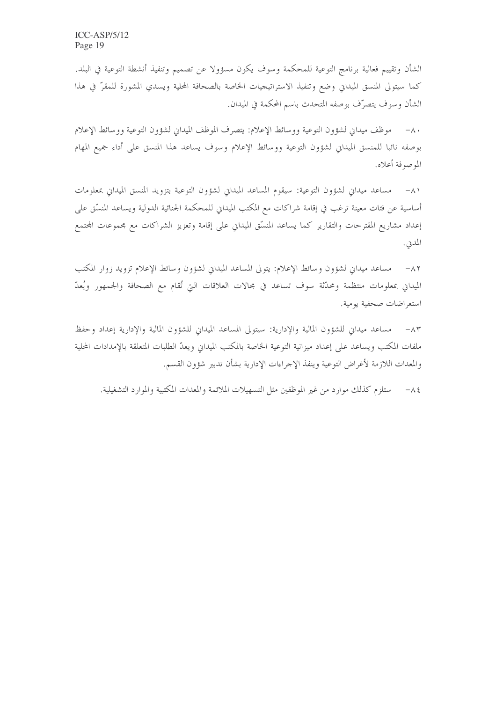الشأن وتقييم فعالية برنامج التوعية للمحكمة وسوف يكون مسؤولا عن تصميم وتنفيذ أنشطة التوعية في البلد. كما سيتولى المنسق الميداني وضع وتنفيذ الاستراتيجيات الخاصة بالصحافة المحلية ويسدي المشورة للمقرّ في هذا الشأن وسوف يتصرّف بوصفه المتحدث باسم المحكمة في الميدان.

٨٠ – موظف ميداني لشؤون التوعية ووسائط الإعلام: يتصرف الموظف الميداني لشؤون التوعية ووسائط الإعلام بوصفه نائبا للمنسق الميداني لشؤون التوعية ووسائط الإعلام وسوف يساعد هذا المنسق على أداء جميع المهام الموصوفة أعلاه.

٨١ – مساعد ميداني لشؤون التوعية: سيقوم المساعد الميداني لشؤون التوعية بتزويد المنسق الميداني بمعلومات أساسية عن فئات معينة ترغب في إقامة شراكات مع المكتب الميداني للمحكمة الجنائية الدولية ويساعد المنسّق على إعداد مشاريع المقترحات والتقارير كما يساعد المنسّق الميداني على إقامة وتعزيز الشراكات مع مجموعات المجتمع المدن.

مساعد ميداني لشؤون وسائط الإعلام: يتولى المساعد الميداني لشؤون وسائط الإعلام تزويد زوار المكتب  $-\wedge 7$ الميداني بمعلومات منتظمة ومحدّثة سوف تساعد في مجالات العلاقات التي تُقام مع الصحافة والجمهور ويُعدّ استعراضات صحفية يومية.

٨٣– مساعد ميداني للشؤون المالية والإدارية: سيتولى المساعد الميداني للشؤون المالية والإدارية إعداد وحفظ ملفات المكتب ويساعد على إعداد ميزانية التوعية الخاصة بالمكتب الميداني ويعدّ الطلبات المتعلقة بالإمدادات المحلية والمعدات اللازمة لأغراض التوعية وينفذ الإحراءات الإدارية بشأن تدبير شؤون القسم.

٨٤ – ستلزم كذلك موارد من غير الموظفين مثل التسهيلات الملائمة والمعدات المكتبية والموارد التشغيلية.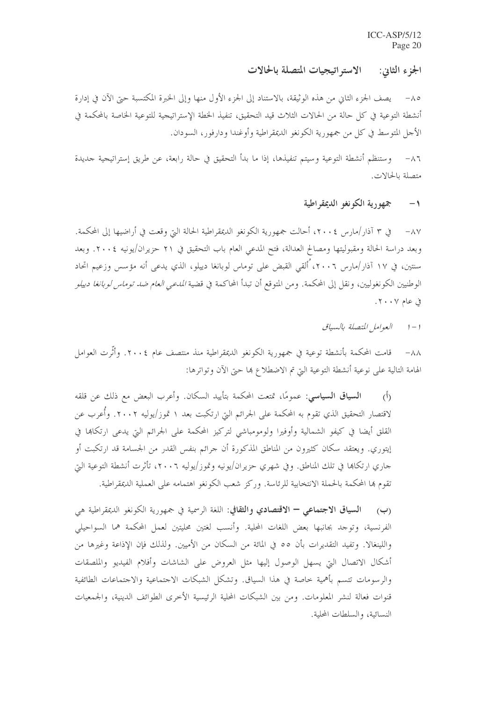الجزء الثاني: الاستراتيجيات المتصلة بالحالات

يصف الجزء الثاني من هذه الوثيقة، بالاستناد إلى الجزء الأول منها وإلى الحبرة المكتسبة حتى الآن في إدارة أنشطة التوعية في كل حالة من الحالات الثلاث قيد التحقيق، تنفيذ الخطة الإستراتيجية للتوعية الخاصة بالمحكمة في الأحل المتوسط في كل من جمهورية الكونغو الديمقراطية وأوغندا ودارفور، السودان.

وستنظم أنشطة التوعية وسيتم تنفيذها، إذا ما بدأ التحقيق في حالة رابعة، عن طريق إستراتيجية حديدة  $-\wedge$  7 متصلة بالحالات.

#### جمهورية الكونغو الديمقراطية  $-1$

في ٣ آذار/مارس ٢٠٠٤، أحالت جمهورية الكونغو الديمقراطية الحالة التي وقعت في أراضيها إلى المحكمة.  $-\wedge \vee$ وبعد دراسة الحالة ومقبوليتها ومصالح العدالة، فتح المدعى العام باب التحقيق في ٢١ حزيران/يونيه ٢٠٠٤. وبعد سنتين، في ١٧ آذار/مارس ٢٠٠٦، أَلقى القبض على توماس لوبانغا دييلو، الذي يدعى أنه مؤسس وزعيم اتحاد الوطنيين الكونغوليين، ونقل إلى المحكمة. ومن المتوقع أن تبدأ المحاكمة في قضية *المدع<sub>ى</sub> العام ضد توماس لوبانغا دييلو* فی عام ۲۰۰۷.

> العوامل المتصلة بالسياق  $1 - 1$

قامت المحكمة بأنشطة توعية في جمهورية الكونغو الديمقراطية منذ منتصف عام ٢٠٠٤. وأثَّرت العوامل  $-\lambda\lambda$ الهامة التالية على نوعية أنشطة التوعية التي تم الاضطلاع بما حتى الآن وتواترها:

ا**لسياق السياسي**: عمومًا، تمتعت المحكمة بتأييد السكان. وأعرب البعض مع ذلك عن قلقه  $\langle \hat{L} \rangle$ لاقتصار التحقيق الذي تقوم به المحكمة على الجرائم التي ارتكبت بعد ١ تموز/يوليه ٢٠٠٢. وأُعرب عن القلق أيضا في كيفو الشمالية وأوفيرا ولومومباشي لتركيز المحكمة على الجرائم التي يدعى ارتكاها في إيتوري. ويعتقد سكان كثيرون من المناطق المذكورة أن جرائم بنفس القدر من الجسامة قد ارتكبت أو جاري ارتكاها في تلك المناطق. وفي شهري حزيران/يونيه وتموز/يوليه ٢٠٠٦، تأثرت أنشطة التوعية التي تقوم بما المحكمة بالحملة الانتخابية للرئاسة. وركز شعب الكونغو اهتمامه على العملية الديمقراطية.

السياق الاجتماعي – الاقتصادي والثقافي: اللغة الرسمية في جمهورية الكونغو الديمقراطية هي  $(\hookrightarrow)$ الفرنسية، وتوجد بجانبها بعض اللغات المحلية. وأنسب لغتين محليتين لعمل المحكمة هما السواحيلي واللينغالا. وتفيد التقديرات بأن ٥٥ في المائة من السكان من الأميين. ولذلك فإن الإذاعة وغيرها من أشكال الاتصال التي يسهل الوصول إليها مثل العروض على الشاشات وأفلام الفيديو والملصقات والرسومات تتسم بأهمية حاصة في هذا السياق. وتشكل الشبكات الاجتماعية والاجتماعات الطائفية قنوات فعالة لنشر المعلومات. ومن بين الشبكات المحلية الرئيسية الأخرى الطوائف الدينية، والجمعيات النسائية، والسلطات المحلية.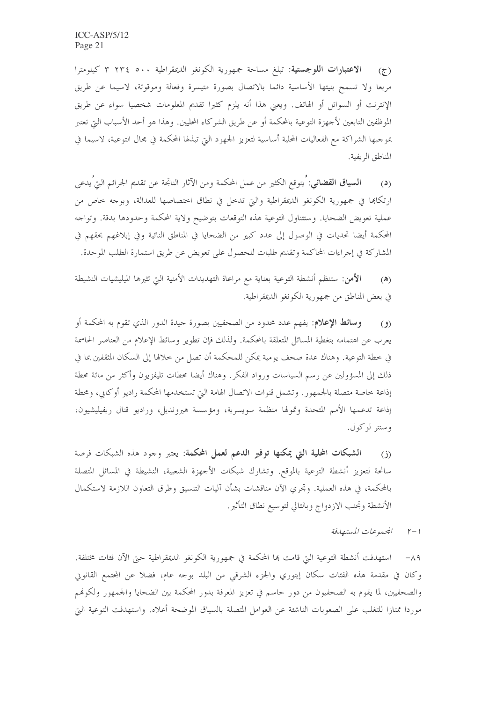الاعتبارات اللوجستية: تبلغ مساحة جمهورية الكونغو الديمقراطية ٣ ٢٣٤ ٠٠ كيلومترا  $(5)$ مربعا ولا تسمح بنيتها الأساسية دائما بالاتصال بصورة متيسرة وفعالة وموقوتة، لاسيما عن طريق الإنترنت أو السواتل أو الهاتف. ويعني هذا أنه يلزم كثيرا تقديم المعلومات شخصيا سواء عن طريق الموظفين التابعين لأجهزة التوعية بالمحكمة أو عن طريق الشركاء المحليين. وهذا هو أحد الأسباب التي تعتبر بموجبها الشراكة مع الفعاليات المحلية أساسية لتعزيز الجهود التي تبذلها المحكمة في مجال التوعية، لاسيما في المناطق الريفية.

**السياق القضائي**: يتوقع الكثير من عمل المحكمة ومن الآثار الناتجة عن تقديم الجرائم التي يدعى  $(3)$ ارتكاها في جمهورية الكونغو الديمقراطية والتي تدحل في نطاق اختصاصها للعدالة، وبوجه خاص من عملية تعويض الضحايا. وستتناول التوعية هذه التوقعات بتوضيح ولاية المحكمة وحدودها بدقة. وتواحه المحكمة أيضا تحديات في الوصول إلى عدد كبير من الضحايا في المناطق النائية وفي إبلاغهم بحقهم في المشاركة في إجراءات المحاكمة وتقديم طلبات للحصول على تعويض عن طريق استمارة الطلب الموحدة.

**الأمن**: ستنظم أنشطة التوعية بعناية مع مراعاة التهديدات الأمنية التي تثيرها الميليشيات النشيطة  $(\triangle)$ في بعض المناطق من جمهورية الكونغو الديمقراطية.

**وسائط الإعلام**: يفهم عدد محدود من الصحفيين بصورة جيدة الدور الذي تقوم به المحكمة أو  $\mathcal{L}(\mathfrak{g})$ يعرب عن اهتمامه بتغطية المسائل المتعلقة بالمحكمة. ولذلك فإن تطوير وسائط الإعلام من العناصر الحاسمة في خطة التوعية. وهناك عدة صحف يومية يمكن للمحكمة أن تصل من خلالها إلى السكان المثقفين بما في ذلك إلى المسؤولين عن رسم السياسات ورواد الفكر. وهناك أيضا محطات تليفزيون وأكثر من مائة محطة إذاعة خاصة متصلة بالجمهور. وتشمل قنوات الاتصال الهامة التي تستخدمها المحكمة راديو أوكابي، ومحطة إذاعة تدعمها الأمم المتحدة وتمولها منظمة سويسرية، ومؤسسة هيرونديل، وراديو قنال ريفيليشيون، وسنتر لوکول.

الشبكات المحلية التي يمكنها توفير الدعم لعمل المحكمة: يعتبر وجود هذه الشبكات فرصة  $(i)$ سانحة لتعزيز أنشطة التوعية بالموقع. وتشارك شبكات الأحهزة الشعبية، النشيطة في المسائل المتصلة بالمحكمة، في هذه العملية. وتجري الآن مناقشات بشأن آليات التنسيق وطرق التعاون اللازمة لاستكمال الأنشطة وتحنب الازدواج وبالتالي لتوسيع نطاق التأثير.

1-1 المحموعات المستهدفة

٨٩ – استهدفت أنشطة التوعية التي قامت هما المحكمة في جمهورية الكونغو الديمقراطية حتى الآن فئات مختلفة. وكان في مقدمة هذه الفئات سكان إيتوري والجزء الشرقي من البلد بوجه عام، فضلاً عن المجتمع القانوين والصحفيين، لما يقوم به الصحفيون من دور حاسم في تعزيز المعرفة بدور المحكمة بين الضحايا والجمهور ولكوفم موردا ممتازا للتغلب على الصعوبات الناشئة عن العوامل المتصلة بالسياق الموضحة أعلاه. واستهدفت التوعية التي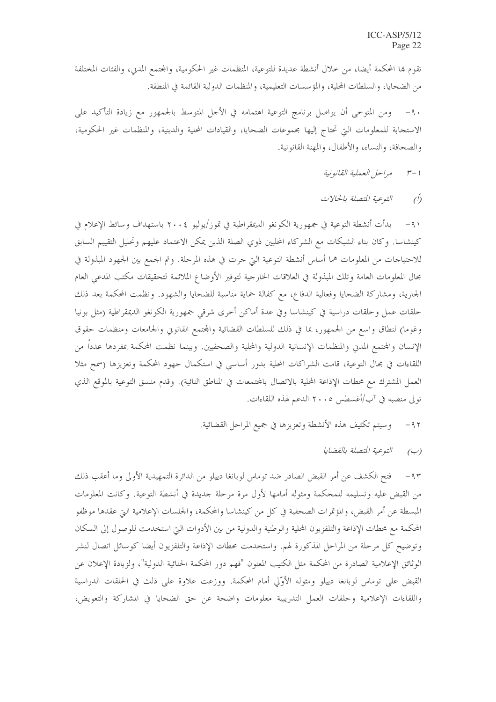تقوم ها المحكمة أيضا، من خلال أنشطة عديدة للتوعية، المنظمات غير الحكومية، والمحتمع المدي، والفئات المختلفة من الضحايا، والسلطات المحلية، والمؤسسات التعليمية، والمنظمات الدولية القائمة في المنطقة.

ومن المتوحى أن يواصل برنامج التوعية اهتمامه في الأحل المتوسط بالجمهور مع زيادة التأكيد على  $-9.$ الاستحابة للمعلومات التي تحتاج إليها محموعات الضحايا، والقيادات المحلية والدينية، والمنظمات غير الحكومية، والصحافة، والنساء، والأطفال، والمهنة القانونية.

- مراحل العملية القانونية  $r-1$
- النوعية المتصلة بالحالات  $\hat{O}$

٩١- بدأت أنشطة التوعية في جمهورية الكونغو الديمقراطية في تموز/يوليو ٢٠٠٤ باستهداف وسائط الإعلام في كينشاسا. وكان بناء الشبكات مع الشركاء المحليين ذوي الصلة الذين يمكن الاعتماد عليهم وتحليل التقييم السابق للاحتياجات من المعلومات هما أساس أنشطة التوعية التي جرت في هذه المرحلة. وتم الجمع بين الجهود المبذولة في مجال المعلومات العامة وتلك المبذولة في العلاقات الخارجية لتوفير الأوضاع الملائمة لتحقيقات مكتب المدعي العام الجارية، ومشاركة الضحايا وفعالية الدفاع، مع كفالة حماية مناسبة للضحايا والشهود. ونظمت المحكمة بعد ذلك حلقات عمل وحلقات دراسية في كينشاسا وفي عدة أماكن أخرى شرقى جمهورية الكونغو الديمقراطية (مثل بونيا وغوما) لنطاق واسع من الجمهور، بما في ذلك للسلطات القضائية والمحتمع القانوين والجامعات ومنظمات حقوق الإنسان والمحتمع المدن والمنظمات الإنسانية الدولية والمحلية والصحفيين. وبينما نظمت المحكمة بمفردها عدداً من اللقاءات في مجال التوعية، قامت الشراكات المحلية بدور أساسي في استكمال جهود المحكمة وتعزيزها (سمح مثلا العمل المشترك مع محطات الإذاعة المحلية بالاتصال بالمحتمعات في المناطق النائية). وقدم منسق التوعية بالموقع الذي تولى منصبه في آب/أغسطس ٢٠٠٥ الدعم لهذه اللقاءات.

- وسيتم تكثيف هذه الأنشطة وتعزيزها في جميع المراحل القضائية.  $-95$ 
	- التوعية المتصلة بالقضايا  $(\varphi)$

٩٣ – فتح الكشف عن أمر القبض الصادر ضد توماس لوبانغا دييلو من الدائرة التمهيدية الأولى وما أعقب ذلك من القبض عليه وتسليمه للمحكمة ومثوله أمامها لأول مرة مرحلة جديدة في أنشطة التوعية. وكانت المعلومات المبسطة عن أمر القبض، والمؤتمرات الصحفية في كل من كينشاسا والمحكمة، والجلسات الإعلامية التي عقدها موظفو المحكمة مع محطات الإذاعة والتلفزيون المحلية والوطنية والدولية من بين الأدوات التي استخدمت للوصول إلى السكان وتوضيح كل مرحلة من المراحل المذكورة لهم. واستخدمت محطات الإذاعة والتلفزيون أيضا كوسائل اتصال لنشر الوثائق الإعلامية الصادرة من المحكمة مثل الكتيب المعنون "فهم دور المحكمة الحنائية الدولية"، ولزيادة الإعلان عن القبض على توماس لوبانغا دييلو ومثوله الأوّلى أمام المحكمة. ووزعت علاوة على ذلك في الحلقات الدراسية واللقاءات الإعلامية وحلقات العمل التدريبية معلومات واضحة عن حق الضحايا في المشاركة والتعويض،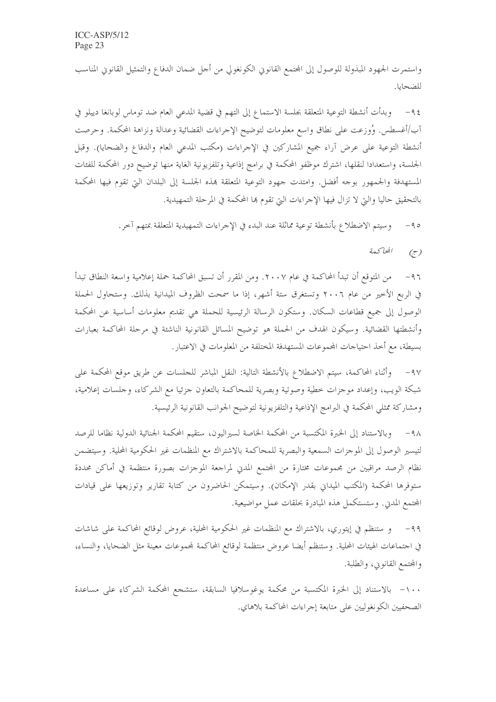واستمرت الجهود المبذولة للوصول إلى المجتمع القانوين الكونغولي من أجل ضمان الدفاع والتمثيل القانوين المناسب للضحايا.

٩٤– وبدأت أنشطة التوعية المتعلقة بجلسة الاستماع إلى التهم في قضية المدعى العام ضد توماس لوبانغا دييلو في آب/أغسطس. وُوزعت على نطاق واسع معلومات لتوضيح الإحراءات القضائية وعدالة ونزاهة المحكمة. وحرصت أنشطة التوعية على عرض آراء جميع المشاركين في الإحراءات (مكتب المدعى العام والدفاع والضحايا). وقبل الجلسة، واستعدادا لنقلها، اشترك موظفو المحكمة في برامج إذاعية وتلفزيونية الغاية منها توضيح دور المحكمة للفئات المستهدفة والجمهور بوجه أفضل. وامتدت جهود التوعية المتعلقة بمذه الجلسة إلى البلدان البِّ تقوم فيها المحكمة بالتحقيق حاليا والتي لا تزال فيها الإجراءات التي تقوم ها المحكمة في المرحلة التمهيدية.

> وسيتم الاضطلاع بأنشطة توعية مماثلة عند البدء في الإجراءات التمهيدية المتعلقة بمتهم آخر .  $-90$

> > المحاكعة  $\left(\overline{z}\right)$

من المتوقع أن تبدأ المحاكمة في عام ٢٠٠٧. ومن المقرر أن تسبق المحاكمة حملة إعلامية واسعة النطاق تبدأ  $-97$ في الربع الأخير من عام ٢٠٠٦ وتستغرق ستة أشهر، إذا ما سمحت الظروف الميدانية بذلك. وستحاول الحملة الوصول إلى جميع قطاعات السكان. وستكون الرسالة الرئيسية للحملة هي تقديم معلومات أساسية عن المحكمة وأنشطتها القضائية. وسيكون الهدف من الحملة هو توضيح المسائل القانونية الناشئة في مرحلة المحاكمة بعبارات بسيطة، مع أخذ احتياحات المحموعات المستهدفة المختلفة من المعلومات في الاعتبار.

٩٧– وأثناء المحاكمة، سيتم الاضطلاع بالأنشطة التالية: النقل المباشر للجلسات عن طريق موقع المحكمة على شبكة الويب، وإعداد موجزات خطية وصوتية وبصرية للمحاكمة بالتعاون جزئيا مع الشركاء، وجلسات إعلامية، ومشاركة ممثلي المحكمة في البرامج الإذاعية والتلفزيونية لتوضيح الجوانب القانونية الرئيسية.

٩٨– وبالاستناد إلى الخبرة المكتسبة من المحكمة الخاصة لسيراليون، ستقيم المحكمة الجنائية الدولية نظاما للرصد لتيسير الوصول إلى الموحزات السمعية والبصرية للمحاكمة بالاشتراك مع المنظمات غير الحكومية المحلية. وسيتضمن نظام الرصد مراقبين من محموعات مختارة من المحتمع المدني لمراجعة الموجزات بصورة منتظمة في أماكن محددة ستوفرها المحكمة (المكتب الميداني بقدر الإمكان). وسيتمكن الحاضرون من كتابة تقارير وتوزيعها على قيادات المحتمع المدني. وستستكمل هذه المبادرة بحلقات عمل مواضيعية.

و ستنظم في إيتوري، بالاشتراك مع المنظمات غير الحكومية المحلية، عروض لوقائع المحاكمة على شاشات  $-99$ في اجتماعات الهيئات المحلية. وستنظم أيضا عروض منتظمة لوقائع المحاكمة لمحموعات معينة مثل الضحايا، والنساء، والمحتمع القانويي، والطلبة.

١٠٠- بالاستناد إلى الخبرة المكتسبة من محكمة يوغوسلافيا السابقة، ستشجع المحكمة الشركاء على مساعدة الصحفيين الكونغوليين على متابعة إجراءات المحاكمة بلاهاي.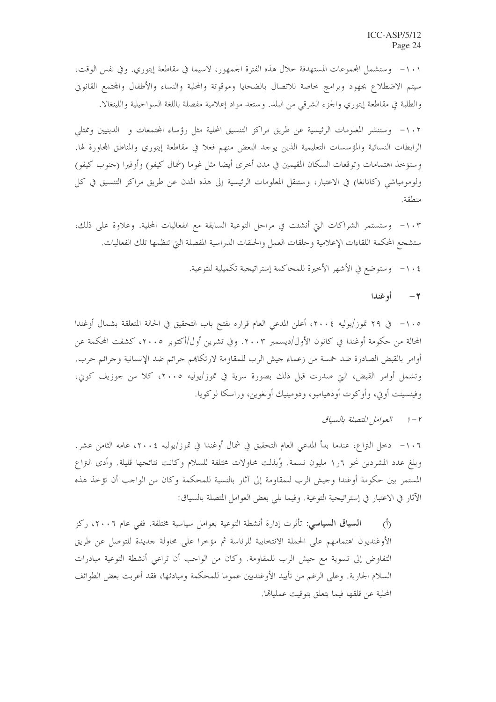١٠١- وستشمل المجموعات المستهدفة خلال هذه الفترة الجمهور، لاسيما في مقاطعة إيتوري. وفي نفس الوقت، سيتم الاضطلاع بجهود وبرامج حاصة للاتصال بالضحايا وموقوتة والمحلية والنساء والأطفال والمحتمع القانوين والطلبة في مقاطعة إيتوري والجزء الشرقي من البلد. وستعد مواد إعلامية مفصلة باللغة السواحيلية واللينغالا.

١٠٢- وستنشر المعلومات الرئيسية عن طريق مراكز التنسيق المحلية مثل رؤساء المحتمعات و الدينيين وممثلي الرابطات النسائية والمؤسسات التعليمية الذين يوجد البعض منهم فعلا في مقاطعة إيتوري والمناطق المحاورة لها. وستؤخذ اهتمامات وتوقعات السكان المقيمين في مدن أخرى أيضا مثل غوما (شمال كيفو) وأوفيرا (جنوب كيفو) ولومومباشي (كاتانغا) في الاعتبار، وستنقل المعلومات الرئيسية إلى هذه المدن عن طريق مراكز التنسيق في كل منطقة.

١٠٣ - وستستمر الشراكات التي أنشئت في مراحل التوعية السابقة مع الفعاليات المحلية. وعلاوة على ذلك، ستشجع المحكمة اللقاءات الإعلامية وحلقات العمل والحلقات الدراسية المفصلة التي تنظمها تلك الفعاليات.

١٠٤ - وستوضع في الأشهر الأخيرة للمحاكمة إستراتيجية تكميلية للتوعية.

٢ أوغندا

١٠٥ – في ٢٩ تموز/يوليه ٢٠٠٤، أعلن المدعى العام قراره بفتح باب التحقيق في الحالة المتعلقة بشمال أوغندا المحالة من حكومة أوغندا في كانون الأول/ديسمبر ٢٠٠٣. وفي تشرين أول/أكتوبر ٢٠٠٥، كشفت المحكمة عن أوامر بالقبض الصادرة ضد خمسة من زعماء حيش الرب للمقاومة لارتكاهم حرائم ضد الإنسانية وحرائم حرب. وتشمل أوامر القبض، التي صدرت قبل ذلك بصورة سرية في تموز/يوليه ٢٠٠٥، كلا من جوزيف كوني، وفينسينت أوتي، وأوكوت أودهيامبو، ودومينيك أونغوين، وراسكا لوكويا.

١٠٦- دخل النزاع، عندما بدأ المدعى العام التحقيق في شمال أوغندا في تموز/يوليه ٢٠٠٤، عامه الثامن عشر . وبلغ عدد المشردين نحو ٦ر١ مليون نسمة. وُبذلت محاولات مختلفة للسلام وكانت نتائجها قليلة. وأدى النزاع المستمر بين حكومة أوغندا وحيش الرب للمقاومة إلى آثار بالنسبة للمحكمة وكان من الواحب أن تؤخذ هذه الآثار في الاعتبار في إستراتيجية التوعية. وفيما يلي بعض العوامل المتصلة بالسياق:

ا**لسياق السياسي**: تأثرت إدارة أنشطة التوعية بعوامل سياسية مختلفة. ففي عام ٢٠٠٦، ركز  $\hat{(\mathfrak{h})}$ الأوغنديون اهتمامهم على الحملة الانتخابية للرئاسة ثم مؤخرا على محاولة جديدة للتوصل عن طريق التفاوض إلى تسوية مع حيش الرب للمقاومة. وكان من الواحب أن تراعى أنشطة التوعية مبادرات السلام الجارية. وعلى الرغم من تأييد الأوغنديين عموما للمحكمة ومبادئها، فقد أعربت بعض الطوائف المحلية عن قلقها فيما يتعلق بتوقيت عمليالها.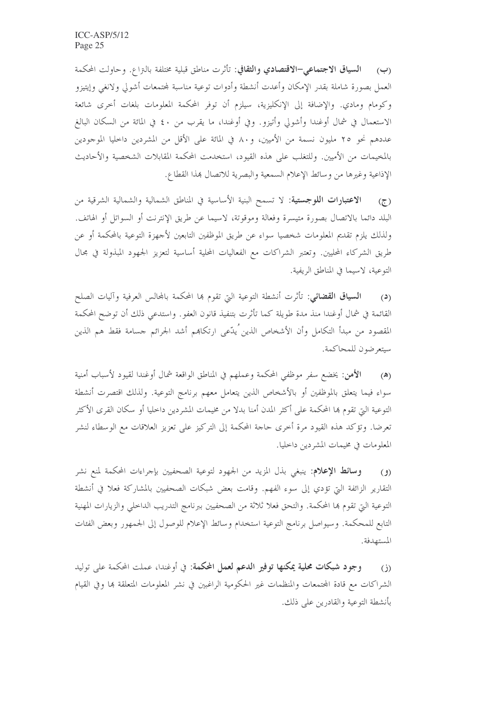(ب) السياق الاجتماعي-الاقتصادي والثقافي: تأثرت مناطق قبلية مختلفة بالتزاع. وحاولت المحكمة العمل بصورة شاملة بقدر الإمكان وأعدت أنشطة وأدوات توعية مناسبة لمحتمعات أشولي ولانغى وإيتيزو وكومام ومادي. والإضافة إلى الإنكليزية، سيلزم أن توفر المحكمة المعلومات بلغات أخرى شائعة الاستعمال في شمال أوغندا وأشولي وأتيزو. وفي أوغندا، ما يقرب من ٤٠ في المائة من السكان البالغ عددهم نحو ٢٥ مليون نسمة من الأميين، و٨٠ في المائة على الأقل من المشردين داخليا الموجودين بالمخيمات من الأميين. وللتغلب على هذه القيود، استخدمت المحكمة المقابلات الشخصية والأحاديث الإذاعية وغيرها من وسائط الإعلام السمعية والبصرية للاتصال هذا القطاع.

الاعتبارات اللوجستية: لا تسمح البنية الأساسية في المناطق الشمالية والشمالية الشرقية من  $(7)$ البلد دائما بالاتصال بصورة متيسرة وفعالة وموقوتة، لاسيما عن طريق الإنترنت أو السواتل أو الهاتف. ولذلك يلزم تقديم المعلومات شخصيا سواء عن طريق الموظفين التابعين لأجهزة التوعية بالمحكمة أو عن طريق الشركاء المحليين. وتعتبر الشراكات مع الفعاليات المحلية أساسية لتعزيز الجهود المبذولة في مجال التوعية، لاسيما في المناطق الريفية.

ا**لسياق القضائي**: تأثرت أنشطة التوعية التي تقوم بما المحكمة بالمحالس العرفية وآليات الصلح  $(3)$ القائمة في شمال أوغندا منذ مدة طويلة كما تأثرت بتنفيذ قانون العفو ٍ واستدعى ذلك أن توضح المحكمة المقصود من مبدأ التكامل وأن الأشخاص الذين ُيدّعى ارتكاهم أشد الجرائم حسامة فقط هم الذين سيتعرضون للمحاكمة.

الأُهن: يخضع سفر موظفي المحكمة وعملهم في المناطق الواقعة شمال أوغندا لقيود لأسباب أمنية  $(\lambda)$ سواء فيما يتعلق بالموظفين أو بالأشخاص الذين يتعامل معهم برنامج التوعية. ولذلك اقتصرت أنشطة التوعية التي تقوم بما المحكمة على أكثر المدن أمنا بدلا من مخيمات المشردين داخليا أو سكان القرى الأكثر تعرضا. وتؤكد هذه القيود مرة أخرى حاجة المحكمة إلى التركيز على تعزيز العلاقات مع الوسطاء لنشر المعلومات في مخيمات المشردين داخليا.

**وسائط الإعلام**: ينبغي بذل المزيد من الجهود لتوعية الصحفيين بإجراءات المحكمة لمنع نشر  $(9)$ التقارير الزائفة التي تؤدي إلى سوء الفهم. وقامت بعض شبكات الصحفيين بالمشاركة فعلا في أنشطة التوعية التي تقوم بما المحكمة. والتحق فعلا ثلاثة من الصحفيين ببرنامج التدريب الداخلي والزيارات المهنية التابع للمحكمة. وسيواصل برنامج التوعية استخدام وسائط الإعلام للوصول إلى الجمهور وبعض الفئات المستهدفة.

وجود شبكات محلية يمكنها توفير الدعم لعمل المحكمة: في أوغندا، عملت المحكمة على توليد  $(i)$ الشراكات مع قادة المحتمعات والمنظمات غير الحكومية الراغبين في نشر المعلومات المتعلقة بما وفي القيام بأنشطة التوعية والقادرين على ذلك.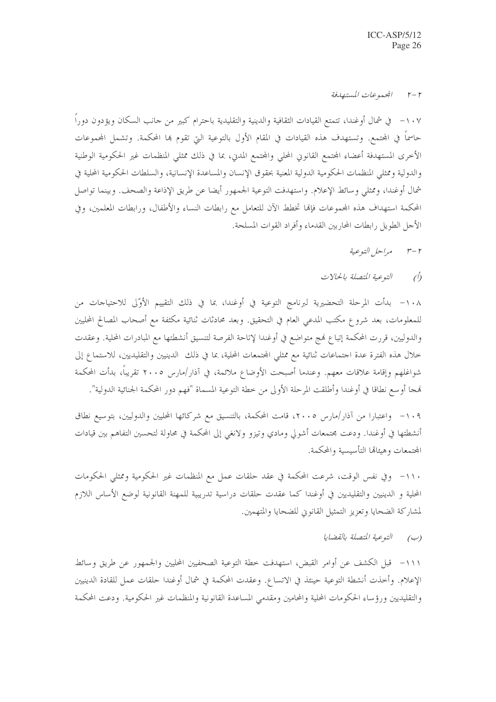#### المحموعات المستهدفة  $r-r$

١٠٧ – في شمال أوغندا، تتمتع القيادات الثقافية والدينية والتقليدية باحترام كبير من حانب السكان ويؤدون دوراً حاسماً في المحتمع. وتستهدف هذه القيادات في المقام الأول بالتوعية التي تقوم هِا المحكمة. وتشمل المحموعات الأخرى المستهدفة أعضاء المحتمع القانوني المحلي والمحتمع المدين، بما في ذلك ممثلي المنظمات غير الحكومية الوطنية والدولية وممثلي المنظمات الحكومية الدولية المعنية بحقوق الإنسان والمساعدة الإنسانية، والسلطات الحكومية المحلية في شمال أوغندا، وممثلي وسائط الإعلام. واستهدفت التوعية الجمهور أيضا عن طريق الإذاعة والصحف. وبينما تواصل المحكمة استهداف هذه المحموعات فإنما تخطط الآن للتعامل مع رابطات النساء والأطفال، ورابطات المعلمين، وفي الأجل الطويل رابطات المحاربين القدماء وأفراد القوات المسلحة.

- مراحل التوعية  $r-r$
- التوعية المتصلة بالحالات  $\hat{O}$

١٠٨ - بدأت المرحلة التحضيرية لبرنامج التوعية في أوغندا، بما في ذلك التقييم الأوَّلى للاحتياحات من للمعلومات، بعد شروع مكتب المدعي العام في التحقيق. وبعد محادثات ثنائية مكثفة مع أصحاب المصالح المحليين والدوليين، قررت المحكمة إتباع فمج متواضع في أوغندا لإتاحة الفرصة لتنسيق أنشطتها مع المبادرات المحلية. وعقدت خلال هذه الفترة عدة اجتماعات ثنائية مع ممثلي المجتمعات المحلية، بما في ذلك الدينيين والتقليديين، للاستماع إلى شواغلهم وإقامة علاقات معهم. وعندما أصبحت الأوضاع ملائمة، في آذار/مارس ٢٠٠٥ تقريباً، بدأت المحكمة هجا أوسع نطاقا في أوغندا وأطلقت المرحلة الأولى من حطة التوعية المسماة "فهم دور المحكمة الجنائية الدولية".

١٠٩- واعتبارا من آذار/مارس ٢٠٠٥، قامت المحكمة، بالتنسيق مع شركائها المحليين والدوليين، بتوسيع نطاق أنشطتها في أوغندا. ودعت محتمعات أشولي ومادي وتيزو ولانغي إلى المحكمة في محاولة لتحسين التفاهم بين قيادات المحتمعات وهيئالها التأسيسية والمحكمة.

١١٠- وفي نفس الوقت، شرعت المحكمة في عقد حلقات عمل مع المنظمات غير الحكومية وممثلي الحكومات المحلية و الدينيين والتقليديين في أوغندا كما عقدت حلقات دراسية تدريبية للمهنة القانونية لوضع الأساس اللازم لمشاركة الضحايا وتعزيز التمثيل القانويي للضحايا والمتهمين.

> التوعية المتصلة بالقضابا  $(\cup)$

١١١- قبل الكشف عن أوامر القبض، استهدفت حطة التوعية الصحفيين المحليين والجمهور عن طريق وسائط الإعلام. وأحذت أنشطة التوعية حينئذ في الاتساع. وعقدت المحكمة في شمال أوغندا حلقات عمل للقادة الدينيين والتقليديين ورؤساء الحكومات المحلية والمحامين ومقدمي المساعدة القانونية والمنظمات غير الحكومية. ودعت المحكمة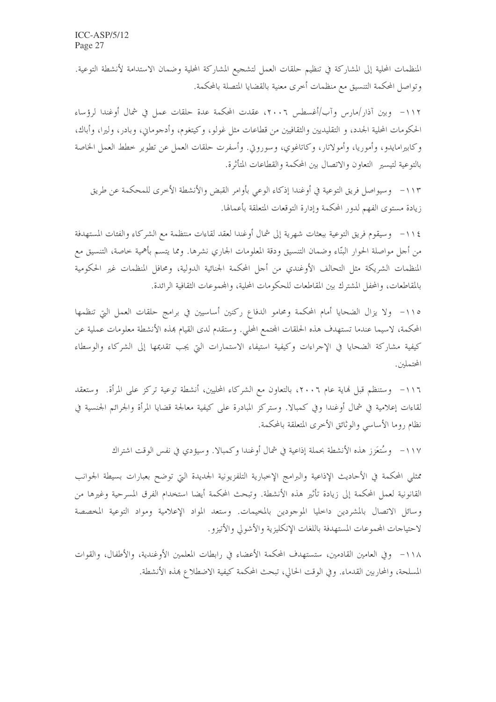المنظمات المحلية إلى المشاركة في تنظيم حلقات العمل لتشجيع المشاركة المحلية وضمان الاستدامة لأنشطة التوعية. وتواصل المحكمة التنسيق مع منظمات أحرى معنية بالقضايا المتصلة بالمحكمة.

١١٢– وبين آذار/مارس وآب/أغسطس ٢٠٠٦، عقدت المحكمة عدة حلقات عمل في شمال أوغندا لرؤساء الحكومات المحلية الجدد، و التقليديين والثقافيين من قطاعات مثل غولو، وكيتغوم، وأدجوماني، وبادر، وليرا، وأباك، وكابيرامايدو، وأموريا، وأمولاتار، وكاتاغوي، وسوروتي. وأسفرت حلقات العمل عن تطوير خطط العمل الخاصة بالتوعية لتيسير التعاون والاتصال بين المحكمة والقطاعات المتأثرة.

١١٣- وسيواصل فريق التوعية في أوغندا إذكاء الوعي بأوامر القبض والأنشطة الأخرى للمحكمة عن طريق زيادة مستوى الفهم لدور المحكمة وإدارة التوقعات المتعلقة بأعمالها.

١١٤ - وسيقوم فريق التوعية ببعثات شهرية إلى شمال أوغندا لعقد لقاءات منتظمة مع الشركاء والفئات المستهدفة من أجل مواصلة الحوار البنّاء وضمان التنسيق ودقة المعلومات الجاري نشرها. ومما يتسم بأهمية خاصة، التنسيق مع المنظمات الشريكة مثل التحالف الأوغندي من أجل المحكمة الجنائية الدولية، ومحافل المنظمات غير الحكومية بالمقاطعات، والمحفل المشترك بين المقاطعات للحكومات المحلية، والمحموعات الثقافية الرائدة.

١١٥– ولا يزال الضحايا أمام المحكمة ومحامو الدفاع ركنين أساسيين في برامج حلقات العمل التي تنظمها المحكمة، لاسيما عندما تستهدف هذه الحلقات المحتمع المحلي. وستقدم لدى القيام بمذه الأنشطة معلومات عملية عن كيفية مشاركة الضحايا في الإجراءات وكيفية استيفاء الاستمارات التي يجب تقديمها إلى الشركاء والوسطاء المحتملين.

١١٦- وستنظم قبل لهاية عام ٢٠٠٦، بالتعاون مع الشركاء المحليين، أنشطة توعية تركز على المرأة. وستعقد لقاءات إعلامية في شمال أوغندا وفي كمبالا. وستركز المبادرة على كيفية معالجة قضايا المرأة والجرائم الجنسية في نظام روما الأساسي والوثائق الأخرى المتعلقة بالمحكمة.

١١٧- وسُتعَزز هذه الأنشطة بحملة إذاعية في شمال أوغندا وكمبالا. وسيؤدي في نفس الوقت اشتراك

ممثلي المحكمة في الأحاديث الإذاعية والبرامج الإخبارية التلفزيونية الجديدة التي توضح بعبارات بسيطة الجوانب القانونية لعمل المحكمة إلى زيادة تأثير هذه الأنشطة. وتبحث المحكمة أيضا استخدام الفرق المسرحية وغيرها من وسائل الاتصال بالمشردين داحليا الموجودين بالمخيمات. وستعد المواد الإعلامية ومواد التوعية المخصصة لاحتياحات المحموعات المستهدفة باللغات الإنكليزية والأشولي والأتيزو .

١١٨ - وفي العامين القادمين، ستستهدف المحكمة الأعضاء في رابطات المعلمين الأوغندية، والأطفال، والقوات المسلحة، والمحاربين القدماء. وفي الوقت الحالي، تبحث المحكمة كيفية الاضطلاع بمذه الأنشطة.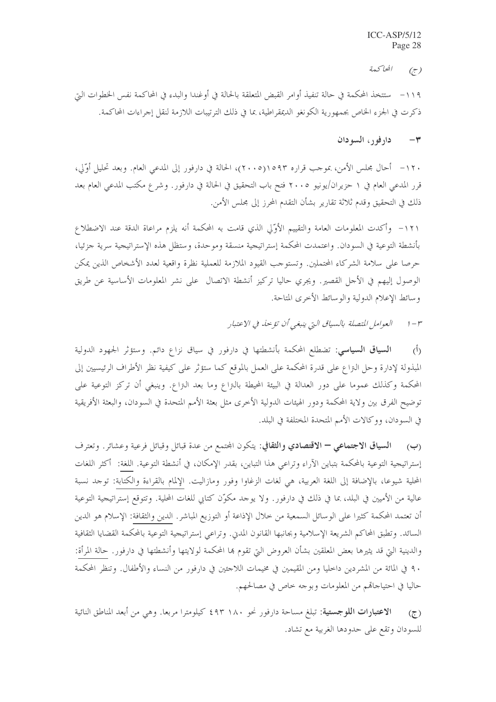المحاكعة  $(\tau)$ 

١١٩ – ستتخذ المحكمة في حالة تنفيذ أوامر القبض المتعلقة بالحالة في أوغندا والبدء في المحاكمة نفس الخطوات التي ذكرت في الجزء الخاص بجمهورية الكونغو الديمقراطية، بما في ذلك الترتيبات اللازمة لنقل إجراءات المحاكمة.

#### دارفور، السودان  $-\tau$

١٢٠ - أحال مجلس الأمن، بموجب قراره ١٥٩٣(٢٠٠٥)، الحالة في دارفور إلى المدعى العام. وبعد تحليل أوَّلي، قرر المدعى العام في ١ حزيران/يونيو ٢٠٠٥ فتح باب التحقيق في الحالة في دارفور. وشرع مكتب المدعي العام بعد ذلك في التحقيق وقدم ثلاثة تقارير بشأن التقدم المحرز إلى مجلس الأمن.

١٢١– وأكدت المعلومات العامة والتقييم الأوَّلي الذي قامت به المحكمة أنه يلزم مراعاة الدقة عند الاضطلاع بأنشطة التوعية في السودان. واعتمدت المحكمة إستراتيجية منسقة وموحدة، وستظل هذه الإستراتيجية سرية جزئيا، حرصا على سلامة الشركاء المحتملين. وتستوجب القيود الملازمة للعملية نظرة واقعية لعدد الأشخاص الذين يمكن الوصول إليهم في الأحل القصير. ويجري حاليا تركيز أنشطة الاتصال ً على نشر المعلومات الأساسية عن طريق وسائط الإعلام الدولية والوسائط الأخرى المتاحة.

> العوامل المتصلة بالسياق التي ينبغي أن تؤ حنه في الاعتبار  $1-r^2$

ا**لسياق السياسي**: تضطلع المحكمة بأنشطتها في دارفور في سياق نزاع دائم. وستؤثر الجهود الدولية  $\langle \hat{L} \rangle$ المبذولة لإدارة وحل النزاع على قدرة المحكمة على العمل بالموقع كما ستؤثر على كيفية نظر الأطراف الرئيسيين إلى المحكمة وكذلك عموما على دور العدالة في البيئة المحيطة بالنزاع وما بعد النزاع. وينبغي أن تركز التوعية على توضيح الفرق بين ولاية المحكمة ودور الهيئات الدولية الأخرى مثل بعثة الأمم المتحدة في السودان، والبعثة الأفريقية في السودان، ووكالات الأمم المتحدة المختلفة في البلد.

السياق الاجتماعي – الاقتصادي والثقافي: يتكون المحتمع من عدة قبائل وقبائل فرعية وعشائر. وتعترف  $(\hookrightarrow)$ إستراتيجية التوعية بالمحكمة بتباين الآراء وتراعى هذا التباين، بقدر الإمكان، في أنشطة التوعية. اللغة: أكثر اللغات المحلية شيوعا، بالإضافة إلى اللغة العربية، هي لغات الزغاوا وفور ومازاليت. الإلمام بالقراءة والكتابة: توحد نسبة عالية من الأميين في البلد، بما في ذلك في دارفور. ولا يوحد مكوّن كتابي للغات المحلية. وتتوقع إستراتيجية التوعية أن تعتمد المحكمة كثيرا على الوسائل السمعية من حلال الإذاعة أو التوزيع المباشر. الدين والثقافة: الإسلام هو الدين السائد. وتطبق المحاكم الشريعة الإسلامية وبجانبها القانون المدين. وتراعي إستراتيجية التوعية بالمحكمة القضايا الثقافية والدينية التي قد يثيرها بعض المعلقين بشأن العروض التي تقوم بما المحكمة لولايتها وأنشطتها في دارفور . حالة المرأة: ٩٠ في المائة من المشردين داخليا ومن المقيمين في مخيمات اللاحئين في دارفور من النساء والأطفال. وتنظر المحكمة حاليا في احتياجاقم من المعلومات وبوجه خاص في مصالحهم.

الاعتبارات اللوجستية: تبلغ مساحة دارفور نحو ١٨٠ ٤٩٣ كيلومترا مربعا. وهي من أبعد المناطق النائية  $(7)$ للسودان وتقع على حدودها الغربية مع تشاد.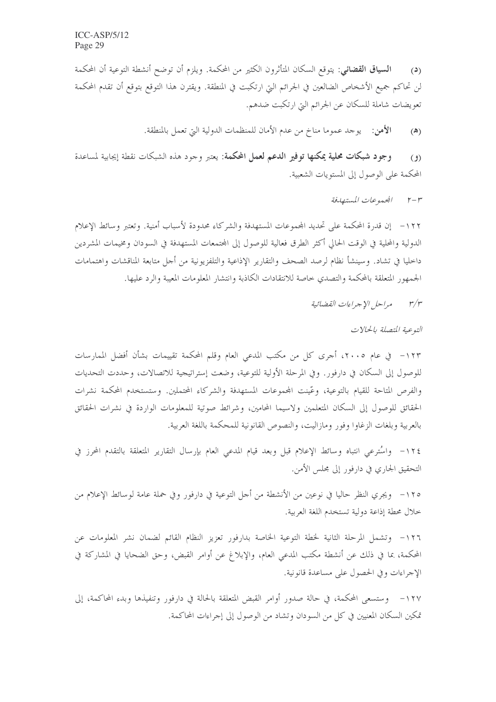ا**لسياق القضائي**: يتوقع السكان المتأثرون الكثير من المحكمة. ويلزم أن توضح أنشطة التوعية أن المحكمة  $(2)$ لن تحاكم جميع الأشخاص الضالعين في الجرائم التي ارتكبت في المنطقة. ويقترن هذا التوقع بتوقع أن تقدم المحكمة تعويضات شاملة للسكان عن الجرائم التي ارتكبت ضدهم.

> الأهن: \_ يوجد عموما مناخ من عدم الأمان للمنظمات الدولية التي تعمل بالمنطقة.  $(\triangle)$

وجود شبكات محلية يمكنها توفير الدعم لعمل المحكمة: يعتبر وحود هذه الشبكات نقطة إيجابية لمساعدة  $(9)$ المحكمة على الوصول إلى المستويات الشعبية.

> المحموعات المستهدفة  $r-r$

١٢٢ - إن قدرة المحكمة على تحديد المحموعات المستهدفة والشركاء محدودة لأسباب أمنية. وتعتبر وسائط الإعلام الدولية والمحلية في الوقت الحالي أكثر الطرق فعالية للوصول إلى المجتمعات المستهدفة في السودان ومخيمات المشردين داخليا في تشاد. وسينشأ نظام لرصد الصحف والتقارير الإذاعية والتلفزيونية من أجل متابعة المناقشات واهتمامات الجمهور المتعلقة بالمحكمة والتصدي خاصة للانتقادات الكاذبة وانتشار المعلومات المعيبة والرد عليها.

> مراحل الإجراءات القضائية  $r/r$

> > التوعية المتصلة بالحالات

للوصول إلى السكان في دارفور. وفي المرحلة الأولية للتوعية، وضعت إستراتيجية للاتصالات، وحددت التحديات والفرص المتاحة للقيام بالتوعية، وعَّينت المجموعات المستهدفة والشركاء المحتملين. وستستخدم المحكمة نشرات الحقائق للوصول إلى السكان المتعلمين ولاسيما المحامين، وشرائط صوتية للمعلومات الواردة في نشرات الحقائق بالعربية وبلغات الزغاوا وفور ومازاليت، والنصوص القانونية للمحكمة باللغة العربية.

١٢٤ - واسْترعي انتباه وسائط الإعلام قبل وبعد قيام المدعى العام بإرسال التقارير المتعلقة بالتقدم المحرز في التحقيق الجاري في دارفور إلى مجلس الأمن.

١٢٥ - ويجري النظر حاليا في نوعين من الأنشطة من أحل التوعية في دارفور وفي حملة عامة لوسائط الإعلام من خلال محطة إذاعة دولية تستخدم اللغة العربية.

١٢٦- وتشمل المرحلة الثانية لخطة التوعية الخاصة بدارفور تعزيز النظام القائم لضمان نشر المعلومات عن المحكمة، بما في ذلك عن أنشطة مكتب المدعى العام، والإبلاغ عن أوامر القبض، وحق الضحايا في المشاركة في الإجراءات وفي الحصول على مساعدة قانونية.

١٢٧ - وستسعى المحكمة، في حالة صدور أوامر القبض المتعلقة بالحالة في دارفور وتنفيذها وبدء المحاكمة، إلى تمكين السكان المعنيين في كلِّ من السودان وتشاد من الوصول إلى إجراءات المحاكمة.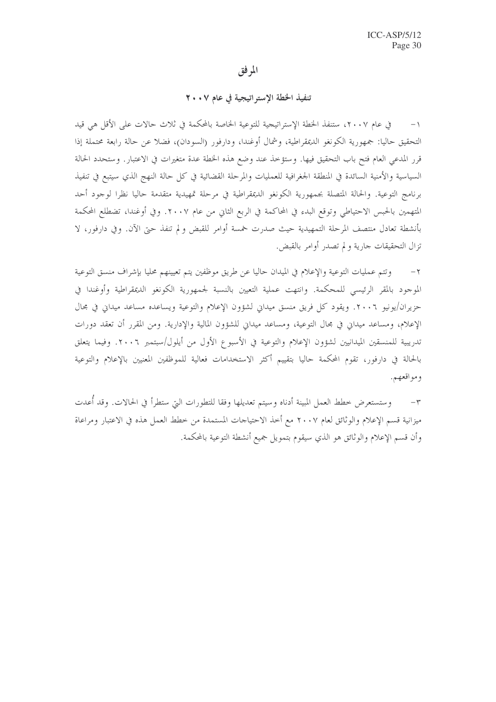## المرفق

تنفيذ الخطة الإستر اتيجية في عام ٢٠٠٧

في عام ٢٠٠٧، ستنفذ الخطة الإستراتيجية للتوعية الخاصة بالمحكمة في ثلاث حالات على الأقل هي قيد  $-1$ التحقيق حاليا: جمهورية الكونغو الديمقراطية، وشمال أوغندا، ودارفور (السودان)، فضلاً عن حالة رابعة محتملة إذا قرر المدعى العام فتح باب التحقيق فيها. وستؤخذ عند وضع هذه الخطة عدة متغيرات في الاعتبار. وستحدد الحالة السياسية والأمنية السائدة في المنطقة الجغرافية للعمليات والمرحلة القضائية في كل حالة النهج الذي سيتبع في تنفيذ برنامج التوعية. والحالة المتصلة بجمهورية الكونغو الديمقراطية في مرحلة تمهيدية متقدمة حاليا نظرا لوجود أحد المتهمين بالحبس الاحتياطي وتوقع البدء في المحاكمة في الربع الثاني من عام ٢٠٠٧. وفي أوغندا، تضطلع المحكمة بأنشطة تعادل منتصف المرحلة التمهيدية حيث صدرت خمسة أوامر للقبض ولم تنفذ حتى الآن. وفي دارفور، لا تزال التحقيقات حارية ولم تصدر أوامر بالقبض.

وتتم عمليات التوعية والإعلام في الميدان حاليا عن طريق موظفين يتم تعيينهم محليا بإشراف منسق التوعية  $-\tau$ الموجود بالمقر الرئيسي للمحكمة. وانتهت عملية التعيين بالنسبة لجمهورية الكونغو الديمقراطية وأوغندا في حزيران/يونيو ٢٠٠٦. ويقود كل فريق منسق ميداني لشؤون الإعلام والتوعية ويساعده مساعد ميداني في مجال الإعلام، ومساعد ميداني في مجال التوعية، ومساعد ميداني للشؤون المالية والإدارية. ومن المقرر أن تعقد دورات تدريبية للمنسقين الميدانيين لشؤون الإعلام والتوعية في الأسبوع الأول من أيلول/سبتمبر ٢٠٠٦. وفيما يتعلق بالحالة في دارفور، تقوم المحكمة حاليا بتقييم أكثر الاستخدامات فعالية للموظفين المعنيين بالإعلام والتوعية ومواقعهم.

٣– وستستعرض خطط العمل المبينة أدناه وسيتم تعديلها وفقا للتطورات التي ستطرأ في الحالات. وقد أعدت ميزانية قسم الإعلام والوثائق لعام ٢٠٠٧ مع أخذ الاحتياجات المستمدة من خطط العمل هذه في الاعتبار ومراعاة وأن قسم الإعلام والوثائق هو الذي سيقوم بتمويل جميع أنشطة التوعية بالمحكمة.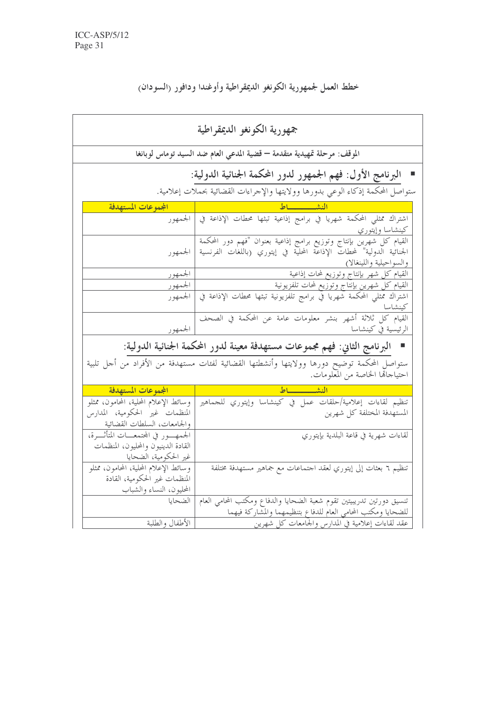خطط العمل لجمهورية الكونغو الديمقراطية وأوغندا ودافور رالسودان

| جمهورية الكونغو الديمقراطية                                                                             |                                                                                                                                                                                                    |  |  |  |
|---------------------------------------------------------------------------------------------------------|----------------------------------------------------------------------------------------------------------------------------------------------------------------------------------------------------|--|--|--|
| الموقف: مرحلة تمهيدية متقدمة — قضية المدعي العام ضد السيد توماس لوبانغا                                 |                                                                                                                                                                                                    |  |  |  |
| البرنامج الأول: فهم الجمهور لدور المحكمة الجنائية الدولية:                                              |                                                                                                                                                                                                    |  |  |  |
| ستواصل المحكمة إذكاء الوعي بدورها وولايتها والإحراءات القضائية بحملات إعلامية.                          |                                                                                                                                                                                                    |  |  |  |
| المجموعات المستهدفة                                                                                     | النشيسساط                                                                                                                                                                                          |  |  |  |
|                                                                                                         | كينشا <u>سا وإيتوري</u>                                                                                                                                                                            |  |  |  |
|                                                                                                         | فيبساسا ويسوري<br>القيام كل شهرين بإنتاج وتوزيع برامج إذاعية بعنوان "فهم دور المحكمة  <br>الجنائية الدولية" لمحطات الإذاعة المحلية في إيتوري (باللغات الفرنسية  الجمهور<br>والسواحيلية واللينغالا) |  |  |  |
| الجمهور                                                                                                 | القيام كل شهر بإنتاج وتوزيع لمحات إذاعية<br>القيام كل شهر بإنتاج وتوزيع لمحات تلفزيونية                                                                                                            |  |  |  |
| الجمهور                                                                                                 |                                                                                                                                                                                                    |  |  |  |
| الجمهور                                                                                                 | اشتراك ممثلي المحكمة شهريا في برامج تلفزيونية تبثها محطات الإذاعة في<br>كينشاسا                                                                                                                    |  |  |  |
|                                                                                                         | القيام كل ثلاثة أشهر بنشر معلومات عامة عن المحكمة في الصحف<br>الرئيسية في كينشاسا                                                                                                                  |  |  |  |
|                                                                                                         | ■   البرنامج الثاني: فهم مجموعات مستهدفة معينة لدور المحكمة الجنائية الدولية:                                                                                                                      |  |  |  |
|                                                                                                         | .<br>ستواصل المحكمة توضيح دورها وولايتها وأنشطتها القضائية لفئات مستهدفة من الأفراد من أحل تلبية<br>احتياجالها الخاصة من المعلومات.                                                                |  |  |  |
| المجموعات المستهدفة                                                                                     |                                                                                                                                                                                                    |  |  |  |
| وسائط الإعلام المحلية، المحامون، ممثلو<br>المنظمات غير الحكومية، المدارس<br>والجامعات، السلطات القضائية | تنظيم لقاءات إعلامية/حلقات عمل في كينشاسا وإيتوري للجماهير<br>المستهدفة المختلفة كل شهرين                                                                                                          |  |  |  |
| الجمهـور في المحتمعــات المتأثــــرة،<br>القادة الدينيون والمحليون، المنظمات<br>غير الحكومية، الضحايا   | لقاءات شهرية في قاعة البلدية بإيتوري                                                                                                                                                               |  |  |  |
| وسائط الإعلام المحلية، المحامون، ممثلو<br>المنظمات غير الحكومية، القادة<br>المحليون، النساء والشباب     | تنظيم ٦ بعثات إلى إيتوري لعقد احتماعات مع جماهير مستهدفة مختلفة                                                                                                                                    |  |  |  |
| الضحايا                                                                                                 | تنسيق دورتين تدريبيتين تقوم شعبة الضحايا والدفاع ومكتب المحامي العام<br>للضحايا ومكتب المحامى العام للدفاع بتنظيمهما والمشاركة فيهما                                                               |  |  |  |
| الأطفال والطلبة                                                                                         | عقد لقاءات إعلامية في المدارس والجامعات كل شهرين                                                                                                                                                   |  |  |  |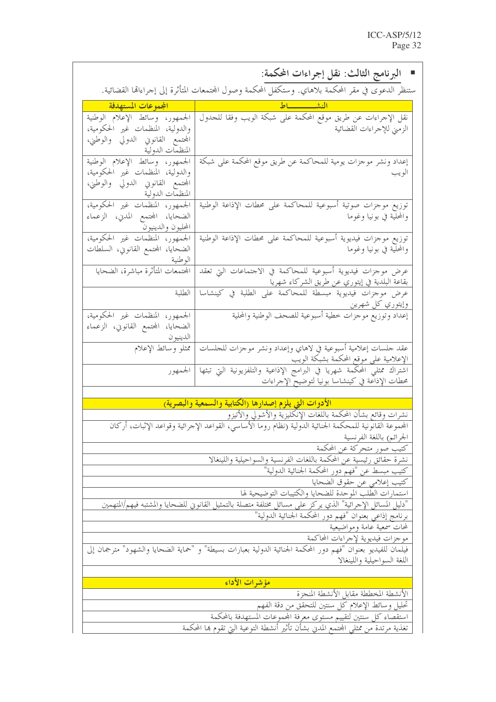| ■ البرنامج الثالث: نقل إجراءات المحكمة:                                                            |                                                                                                                                                                       |  |  |  |
|----------------------------------------------------------------------------------------------------|-----------------------------------------------------------------------------------------------------------------------------------------------------------------------|--|--|--|
| ستنظر الدعوى في مقر المحكمة بلاهاي. وستكفل المحكمة وصول المحتمعات المتأثرة إلى إحراءاقما القضائية. |                                                                                                                                                                       |  |  |  |
| المجموعات المستهدفة المستفض                                                                        |                                                                                                                                                                       |  |  |  |
| الجمهور، وسائط الإعلام الوطنية                                                                     | الشهر المستقبل المستقبل المستقبل المستقبل المستقبل المستقبل المستقبل المستقبل المستقبل المستقبل المس<br>نقل الإجراءات عن طريق موقع المحكمة على شبكة الويب وفقا للجدول |  |  |  |
| والدولية، المنظمات غير الحكومية،                                                                   | الزمني للإجراءات القضائية                                                                                                                                             |  |  |  |
| المحتمع القانوني الدولي والوطني،                                                                   |                                                                                                                                                                       |  |  |  |
| المنظمات الدولية                                                                                   |                                                                                                                                                                       |  |  |  |
| الجمهور، وسائط الإعلام الوطنية<br>والدولية، المنظمات غير الحكومية،                                 | إعداد ونشر موجزات يومية للمحاكمة عن طريق موقع المحكمة على شبكة<br>الويب                                                                                               |  |  |  |
| المحتمع القانوني الدولي والوطني،                                                                   |                                                                                                                                                                       |  |  |  |
| المن <u>ظمات الدولية مستحدد ا</u>                                                                  |                                                                                                                                                                       |  |  |  |
| الجمهور، المنظمات غير الحكومية،                                                                    | توزيع موحزات صوتية أسبوعية للمحاكمة على محطات الإذاعة الوطنية                                                                                                         |  |  |  |
| الضحايا، المحتمع المدني، الزعماء                                                                   | والمحلَّية في بونيا وغوما                                                                                                                                             |  |  |  |
| المحليون والدينيون                                                                                 |                                                                                                                                                                       |  |  |  |
| الجمهور، المنظمات غير الحكومية،                                                                    | توزيع موحزات فيديوية أسبوعية للمحاكمة على محطات الإذاعة الوطنية                                                                                                       |  |  |  |
| الضحايا، المحتمع القانوين، السلطات                                                                 | والمحلَّيَّة في بونيا وغوما                                                                                                                                           |  |  |  |
|                                                                                                    |                                                                                                                                                                       |  |  |  |
| المحتمعات المتأثرة مباشرة، الضحايا                                                                 | عرض موحزات فيديوية أسبوعية للمحاكمة في الاجتماعات التي تعقد<br>بقاعة البلدية في إيتوري عن طريق الشركاء شهريا                                                          |  |  |  |
| الطلبة                                                                                             |                                                                                                                                                                       |  |  |  |
|                                                                                                    | وإيتوري كل شهرين مصحب مستقل المستقل                                                                                                                                   |  |  |  |
| الجمهور، المنظمات غير الحكومية،                                                                    | إعداد وتوزيع موجزات خطية أسبوعية للصحف الوطنية والمحلية                                                                                                               |  |  |  |
| الضحايا، المحتمع القانويي، الزعماء                                                                 |                                                                                                                                                                       |  |  |  |
| الدينيو <u>ن _____</u> __                                                                          |                                                                                                                                                                       |  |  |  |
| ممثلو وسائط الإعلام                                                                                | عقد حلسات إعلامية أسبوعية في لاهاي وإعداد ونشر موحزات للحلسات<br>الإعلامية على موقع المحكمة بشبكة الويب                                                               |  |  |  |
|                                                                                                    | اشتراك ممثلي المحكمة شهريا في البرامج الإذاعية والتلفزيونية آلتي تبثها   الجمهور                                                                                      |  |  |  |
|                                                                                                    | محطات الإذاعة في كينشاسا بونيا لتوضيح الإجراءات                                                                                                                       |  |  |  |
|                                                                                                    |                                                                                                                                                                       |  |  |  |
|                                                                                                    | الأدوات التي يلزم إصدارها رالكتابية والسمعية والبصرية)                                                                                                                |  |  |  |
|                                                                                                    | نشرات وقائع بشأن المحكمة باللغات الإنكليزية والأشولي والأتيزو                                                                                                         |  |  |  |
|                                                                                                    | المحموعة القانونية للمحكمة الجنائية الدولية (نظام روما الأساسي، القواعد الإحرائية وقواعد الإثبات، أركان                                                               |  |  |  |
| الجرائمي باللغة الفرنسية                                                                           |                                                                                                                                                                       |  |  |  |
|                                                                                                    | كتيب صور متحركة عن المحكمة<br>نشرة حقائق رئيسية عن المحكمة باللغات الفرنسية والسواحيلية واللينغالا                                                                    |  |  |  |
|                                                                                                    | كتيب مبسط عن "فهم دور المحكمة الجنائية الدولية"                                                                                                                       |  |  |  |
|                                                                                                    | كتيب إعلامي عن حقوق الضحايا                                                                                                                                           |  |  |  |
|                                                                                                    | استمارات الطلب الموحدة للضحايا والكتيبات التوضيحية لها                                                                                                                |  |  |  |
|                                                                                                    | "دليل المسائل الإحرائية" الذي يركز على مسائل مختلفة متصلة بالتمثيل القانوني للضحايا والمشتبه فيهم/المتهمين                                                            |  |  |  |
|                                                                                                    | برنامج إذاعي بعنوان "فهم دور المحكمة الجنائية الدولية"                                                                                                                |  |  |  |
|                                                                                                    | لمحات سمعية عامة ومواضيعية                                                                                                                                            |  |  |  |
|                                                                                                    | <u>موحزات فيديوية لإجراءات</u> المحاكمة                                                                                                                               |  |  |  |
|                                                                                                    | فيلمان للفيديو بعنوان "فهم دور المحكمة الجنائية الدولية بعبارات بسيطة" و "حماية الضحايا والشهود" مترجمان إلى                                                          |  |  |  |
|                                                                                                    | اللغة السواحيلية واللينغالا                                                                                                                                           |  |  |  |
|                                                                                                    | مؤشرات الأداء                                                                                                                                                         |  |  |  |
|                                                                                                    | الأنشطة المخططة مقابل الأنشطة المنجزة                                                                                                                                 |  |  |  |
| تحليل وسائط الإعلام كل سنتين للتحقق من دقة الفهم                                                   |                                                                                                                                                                       |  |  |  |
|                                                                                                    | استقصاء كل سنتين لتقييم مستوى معرفة المحموعات المستهدفة بالمحكمة                                                                                                      |  |  |  |
|                                                                                                    | تغذية مرتدة من ممثلي المحتمع المدني بشأن تأثير أنشطة التوعية التي تقوم بما المحكمة                                                                                    |  |  |  |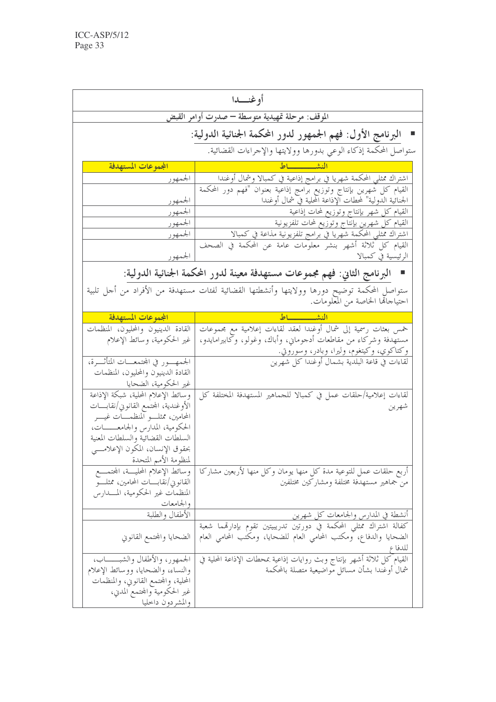| الموقف: مرحلة تمهيدية متوسطة — صدرت أوامر القبض<br>البرنامج الأول: فهم الجمهور لدور المحكمة الجنائية الدولية:<br>ستواصل المحكمة إذكاء الوعي بدورها وولايتها والإحراءات القضائية.<br>الجموعات المستهدفة<br>النشيسيسساط<br>اشتراك ممثلي المحكمة شهريا في برامج إذاعية في كمبالا وشمال أوغندا<br>الجمهور<br>القيام كل شهرين بإنتاج وتوزيع برامج إذاعية بعنوان "فهم دور المحكمة<br>الجنائية الدولية" لمحطات آلإذاعة المحلية في شمال أوغندا<br>الجمهور<br>القيام كل شهر بإنتاج وتوزيع لمحات إذاعية<br>الجمهور<br>القيام كل شهرين بإنتاج وتوزيع لمحات تلفزيونية<br>الجمهور<br>اشتراك ممثلي المحكمة شهريا في برامج تلفزيونية مذاعة في كمبالا<br>الجمهور<br>القيام كل ثلاثة أشهر بنشر معلومات عامة عن المحكمة في الصحف<br>الرئيسية في كمبالا<br>الجمهور<br>البرنامج الثاني: فهم مجموعات مستهدفة معينة لدور المحكمة الجنائية الدولية:<br>ستواصل المحكمة توضيح دورها وولايتها وأنشطتها القضائية لفئات مستهدفة من الأفراد من أحل تلبية<br>احتياحالها الخاصة من المعلومات. |  | أو غنــــدا |  |  |  |
|----------------------------------------------------------------------------------------------------------------------------------------------------------------------------------------------------------------------------------------------------------------------------------------------------------------------------------------------------------------------------------------------------------------------------------------------------------------------------------------------------------------------------------------------------------------------------------------------------------------------------------------------------------------------------------------------------------------------------------------------------------------------------------------------------------------------------------------------------------------------------------------------------------------------------------------------------------------|--|-------------|--|--|--|
|                                                                                                                                                                                                                                                                                                                                                                                                                                                                                                                                                                                                                                                                                                                                                                                                                                                                                                                                                                |  |             |  |  |  |
|                                                                                                                                                                                                                                                                                                                                                                                                                                                                                                                                                                                                                                                                                                                                                                                                                                                                                                                                                                |  |             |  |  |  |
|                                                                                                                                                                                                                                                                                                                                                                                                                                                                                                                                                                                                                                                                                                                                                                                                                                                                                                                                                                |  |             |  |  |  |
|                                                                                                                                                                                                                                                                                                                                                                                                                                                                                                                                                                                                                                                                                                                                                                                                                                                                                                                                                                |  |             |  |  |  |
|                                                                                                                                                                                                                                                                                                                                                                                                                                                                                                                                                                                                                                                                                                                                                                                                                                                                                                                                                                |  |             |  |  |  |
|                                                                                                                                                                                                                                                                                                                                                                                                                                                                                                                                                                                                                                                                                                                                                                                                                                                                                                                                                                |  |             |  |  |  |
|                                                                                                                                                                                                                                                                                                                                                                                                                                                                                                                                                                                                                                                                                                                                                                                                                                                                                                                                                                |  |             |  |  |  |
|                                                                                                                                                                                                                                                                                                                                                                                                                                                                                                                                                                                                                                                                                                                                                                                                                                                                                                                                                                |  |             |  |  |  |
|                                                                                                                                                                                                                                                                                                                                                                                                                                                                                                                                                                                                                                                                                                                                                                                                                                                                                                                                                                |  |             |  |  |  |
|                                                                                                                                                                                                                                                                                                                                                                                                                                                                                                                                                                                                                                                                                                                                                                                                                                                                                                                                                                |  |             |  |  |  |
|                                                                                                                                                                                                                                                                                                                                                                                                                                                                                                                                                                                                                                                                                                                                                                                                                                                                                                                                                                |  |             |  |  |  |
|                                                                                                                                                                                                                                                                                                                                                                                                                                                                                                                                                                                                                                                                                                                                                                                                                                                                                                                                                                |  |             |  |  |  |
| الجموعات المستهدفة<br>النشيييية                                                                                                                                                                                                                                                                                                                                                                                                                                                                                                                                                                                                                                                                                                                                                                                                                                                                                                                                |  |             |  |  |  |
| خمس بعثات رسمية إلى شمال أوغندا لعقد لقاءات إعلامية مع مجموعات<br>القادة الدينيون والمحليون، المنظمات                                                                                                                                                                                                                                                                                                                                                                                                                                                                                                                                                                                                                                                                                                                                                                                                                                                          |  |             |  |  |  |
| غير الحكومية، وسائط الإعلام<br>مستهدفة وشركاء من مقاطعات أدجوماني، وأباك، وغولو، وكابيرامايدو،                                                                                                                                                                                                                                                                                                                                                                                                                                                                                                                                                                                                                                                                                                                                                                                                                                                                 |  |             |  |  |  |
| وكتاكوي، وكيتغوم، وليرا، وبادر، وسوروتي.                                                                                                                                                                                                                                                                                                                                                                                                                                                                                                                                                                                                                                                                                                                                                                                                                                                                                                                       |  |             |  |  |  |
| الجمهــور في المحتمعــات المتأثـــرة،<br>لقاءات في قاعة البلدية بشمال أوغندا كل شهرين<br>القادة الدينيون والمحليون، المنظمات                                                                                                                                                                                                                                                                                                                                                                                                                                                                                                                                                                                                                                                                                                                                                                                                                                   |  |             |  |  |  |
| غير الحكومية، الضحايا                                                                                                                                                                                                                                                                                                                                                                                                                                                                                                                                                                                                                                                                                                                                                                                                                                                                                                                                          |  |             |  |  |  |
| لقاءات إعلامية/حلقات عمل في كمبالا للجماهير المستهدفة المختلفة كل<br>وسائط الإعلام المحلية، شبكة الإذاعة                                                                                                                                                                                                                                                                                                                                                                                                                                                                                                                                                                                                                                                                                                                                                                                                                                                       |  |             |  |  |  |
| الأوغندية، المحتمع القانوين/نقابــــات<br>شهرين                                                                                                                                                                                                                                                                                                                                                                                                                                                                                                                                                                                                                                                                                                                                                                                                                                                                                                                |  |             |  |  |  |
| المحامين، ممثلــــو آلمنظمـــــات غيـــــر                                                                                                                                                                                                                                                                                                                                                                                                                                                                                                                                                                                                                                                                                                                                                                                                                                                                                                                     |  |             |  |  |  |
| الحكومية، المدارس والجامعـــــات،                                                                                                                                                                                                                                                                                                                                                                                                                                                                                                                                                                                                                                                                                                                                                                                                                                                                                                                              |  |             |  |  |  |
| السلطات القضائية والسلطات المعنية                                                                                                                                                                                                                                                                                                                                                                                                                                                                                                                                                                                                                                                                                                                                                                                                                                                                                                                              |  |             |  |  |  |
| بحقوق الإنسان، المكون الإعلامــــي<br>لمنظومة الأمم المتحدة                                                                                                                                                                                                                                                                                                                                                                                                                                                                                                                                                                                                                                                                                                                                                                                                                                                                                                    |  |             |  |  |  |
| أربع حلقات عمل للتوعية مدة كل منها يومان وكل منها لأربعين مشاركا<br>وسائط الإعلام المحليسة، المجتمسع                                                                                                                                                                                                                                                                                                                                                                                                                                                                                                                                                                                                                                                                                                                                                                                                                                                           |  |             |  |  |  |
| من جماهير مستهدفة مختلفة ومشاركين مختلفين<br>القانوين/نقابــــات المحامين، ممثلــــو                                                                                                                                                                                                                                                                                                                                                                                                                                                                                                                                                                                                                                                                                                                                                                                                                                                                           |  |             |  |  |  |
| المنظمات غير الحكومية، المـــــدارس                                                                                                                                                                                                                                                                                                                                                                                                                                                                                                                                                                                                                                                                                                                                                                                                                                                                                                                            |  |             |  |  |  |
| والجامعات                                                                                                                                                                                                                                                                                                                                                                                                                                                                                                                                                                                                                                                                                                                                                                                                                                                                                                                                                      |  |             |  |  |  |
| الأطفال والطلبة<br>أنشطة في المدارس والجامعات كل شهرين                                                                                                                                                                                                                                                                                                                                                                                                                                                                                                                                                                                                                                                                                                                                                                                                                                                                                                         |  |             |  |  |  |
| كفالة اشتراك ممثل <sub>ى</sub> المحكمة في دورتين تدريبيتين تقوم بإدارتمما شعبة                                                                                                                                                                                                                                                                                                                                                                                                                                                                                                                                                                                                                                                                                                                                                                                                                                                                                 |  |             |  |  |  |
| الضحايا والدفاع، ومكتب المحامي العام للضحايا، ومكتب المحامي العام<br>الضحايا والمحتمع القانوني<br>للدفاع                                                                                                                                                                                                                                                                                                                                                                                                                                                                                                                                                                                                                                                                                                                                                                                                                                                       |  |             |  |  |  |
| القيام كل ثلاثة أشهر بإنتاج وبث روايات إذاعية بمحطات الإذاعة المحلية في<br>الجمهور، والأطفال والشبــــــاب،                                                                                                                                                                                                                                                                                                                                                                                                                                                                                                                                                                                                                                                                                                                                                                                                                                                    |  |             |  |  |  |
| شمال أوغندا بشأن مسائل مواضيعية متصلة بالمحكمة<br>والنساء، والضحايا، ووسائط الإعلام                                                                                                                                                                                                                                                                                                                                                                                                                                                                                                                                                                                                                                                                                                                                                                                                                                                                            |  |             |  |  |  |
| المحلية، والمحتمع القانويي، والمنظمات                                                                                                                                                                                                                                                                                                                                                                                                                                                                                                                                                                                                                                                                                                                                                                                                                                                                                                                          |  |             |  |  |  |
| غير الحكومية والمحتمع المدبي،<br>والمشردون داخليا                                                                                                                                                                                                                                                                                                                                                                                                                                                                                                                                                                                                                                                                                                                                                                                                                                                                                                              |  |             |  |  |  |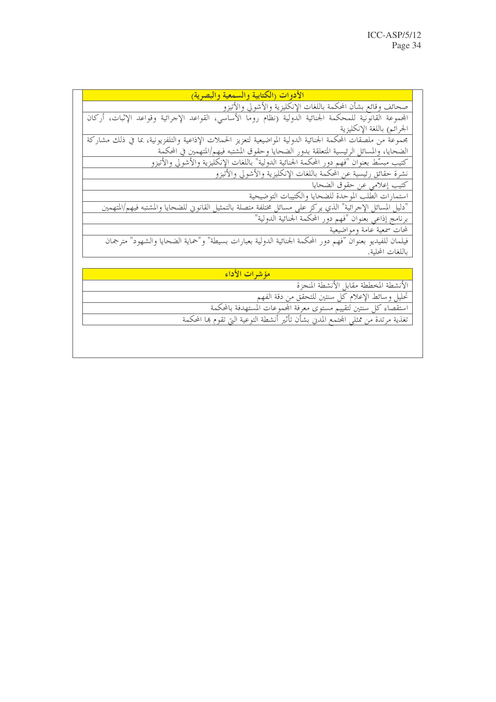### الأدوات (الكتابية والسمعية والبصرية)

صحائف وقائع بشأن المحكمة باللغات الإنكليزية والأشولي والأتيزو المحموعة القانونية للمحكمة الجنائية الدولية (نظام رومًا الأساسي، القواعد الإجرائية وقواعد الإثبات، أركان

الجرائم) باللغة الإنكليزية

مجموعة من ملصقات المحكمة الجنائية الدولية المواضيعية لتعزيز الحملات الإذاعية والتلفزيونية، بما في ذلك مشاركة الضحايا، والمسائل الرئيسية المتعلقة بدور الضحايا وحقوق المشتبه فيهم/المتهمين في المحكمة

كتيب مبسِّط بعنوان "فهم دور المحكمة الجنائية الدولية" باللغات الإنكليزية والأشولي والأتيزو

كتيب إعلامي عن حقوق الضحايا

استمارات الطلب الموحدة للضحايا والكتيبات التوضيحية "دليل المسائل الإجرائية" الذي يركز على مسائل مختلفة متصلة بالتمثيل القانوين للضحايا والمشتبه فيهم/المتهمين

برنامج إذاعي بعنوان "فهم دور المحكمة الجنائية الدولية"

لمحات سمعية عامة ومواضيعية

فيلمان للفيديو بعنوان "فهم دور المحكمة الجنائية الدولية بعبارات بسيطة" و"حماية الضحايا والشهود" مترجمان باللغات المحلية.

### هؤشرات الأداء

الأنشطة المخططة مقابل الأنشطة المنجزة

تحليل وسائط الإعلام كل سنتين للتحقق من دقة الفهم

استقصاء كل سنتين لتقييم مستوى معرفة المحموعات المستهدفة بالمحكمة

تغذية مرتدة من ممثلي المحتمع المدين بشأن تأثير أنشطة التوعية التي تقوم بما المحكمة